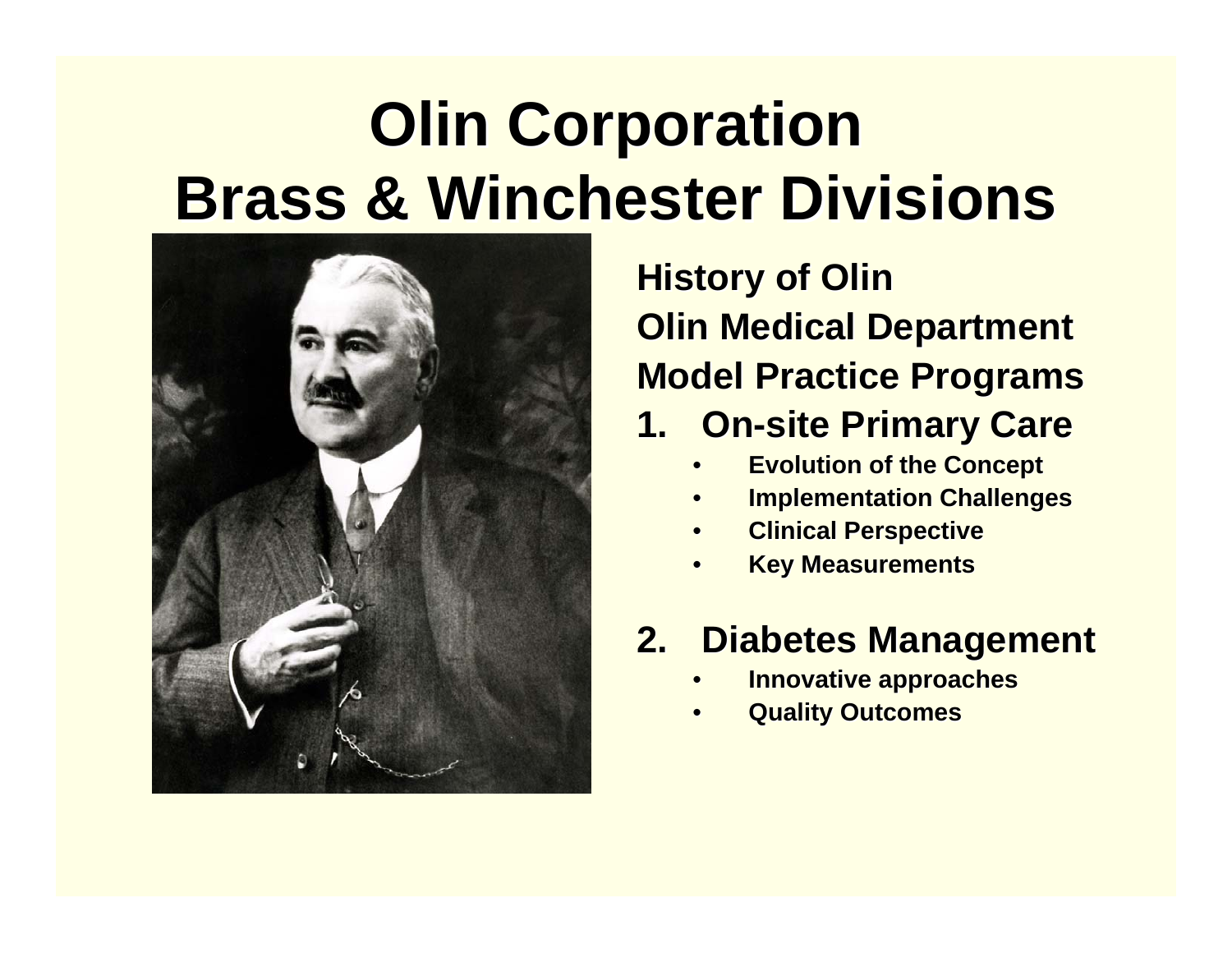### **Olin Corporation Brass & Winchester Divisions Brass & Winchester Divisions**



**History of Olin Olin Medical Department Olin Medical Department Model Practice Programs Model Practice Programs**

#### **1. On -site Primary Care site Primary Care**

- •**Evolution of the Concept Evolution of the Concept**
- •**Implementation Challenges**
- •**Clinical Perspective Clinical Perspective**
- •**Key Measurements**

#### **2. Diabetes Management Diabetes Management**

- •**Innovative approaches Innovative approaches**
- •**Quality Outcomes Quality Outcomes**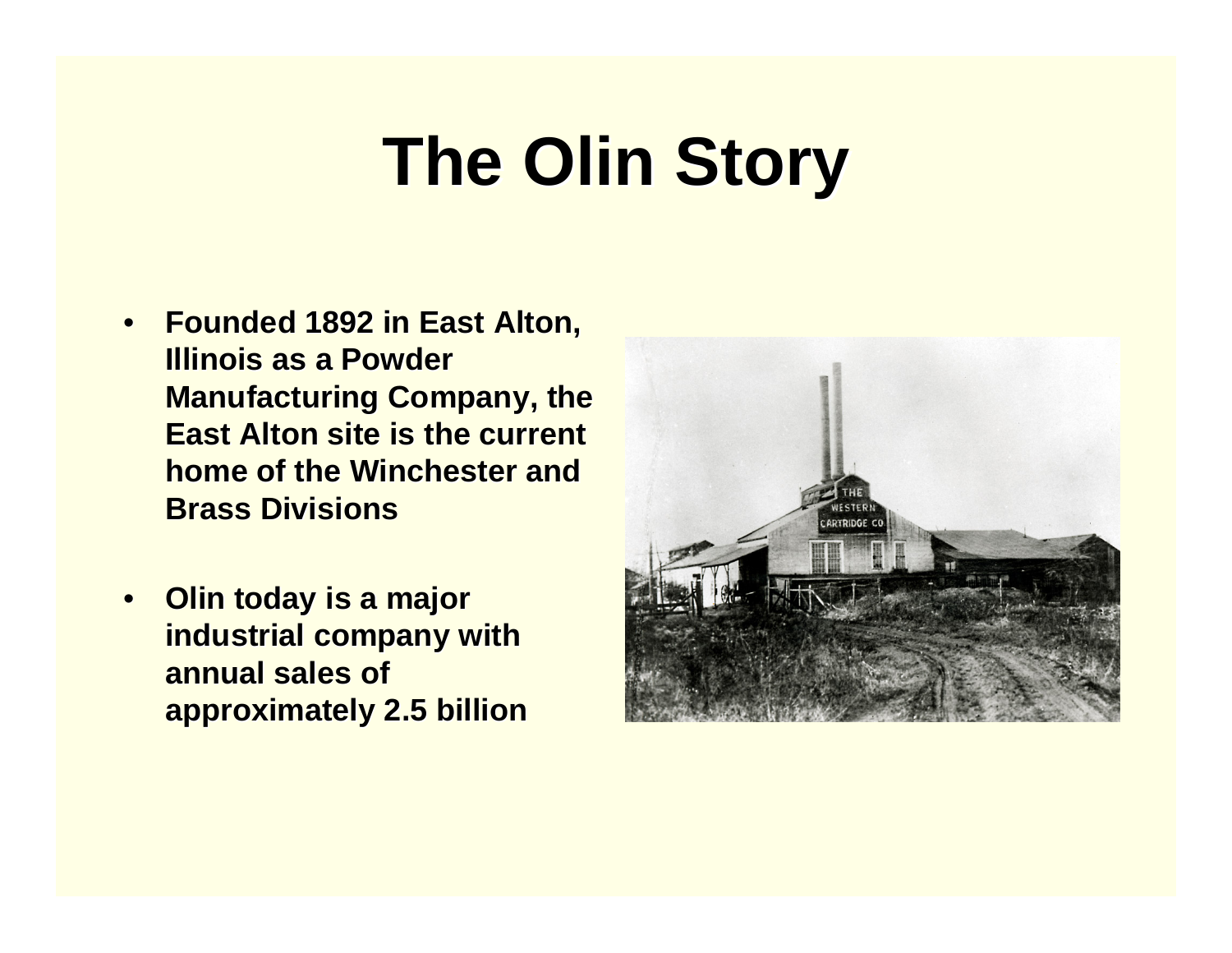- •**Founded 1892 in East Alton, Illinois as a Powder Manufacturing Company, the East Alton site is the current home of the Winchester and Brass Divisions Brass Divisions**
- •**Olin today is a major industrial company with annual sales of approximately 2.5 billion approximately 2.5 billion**

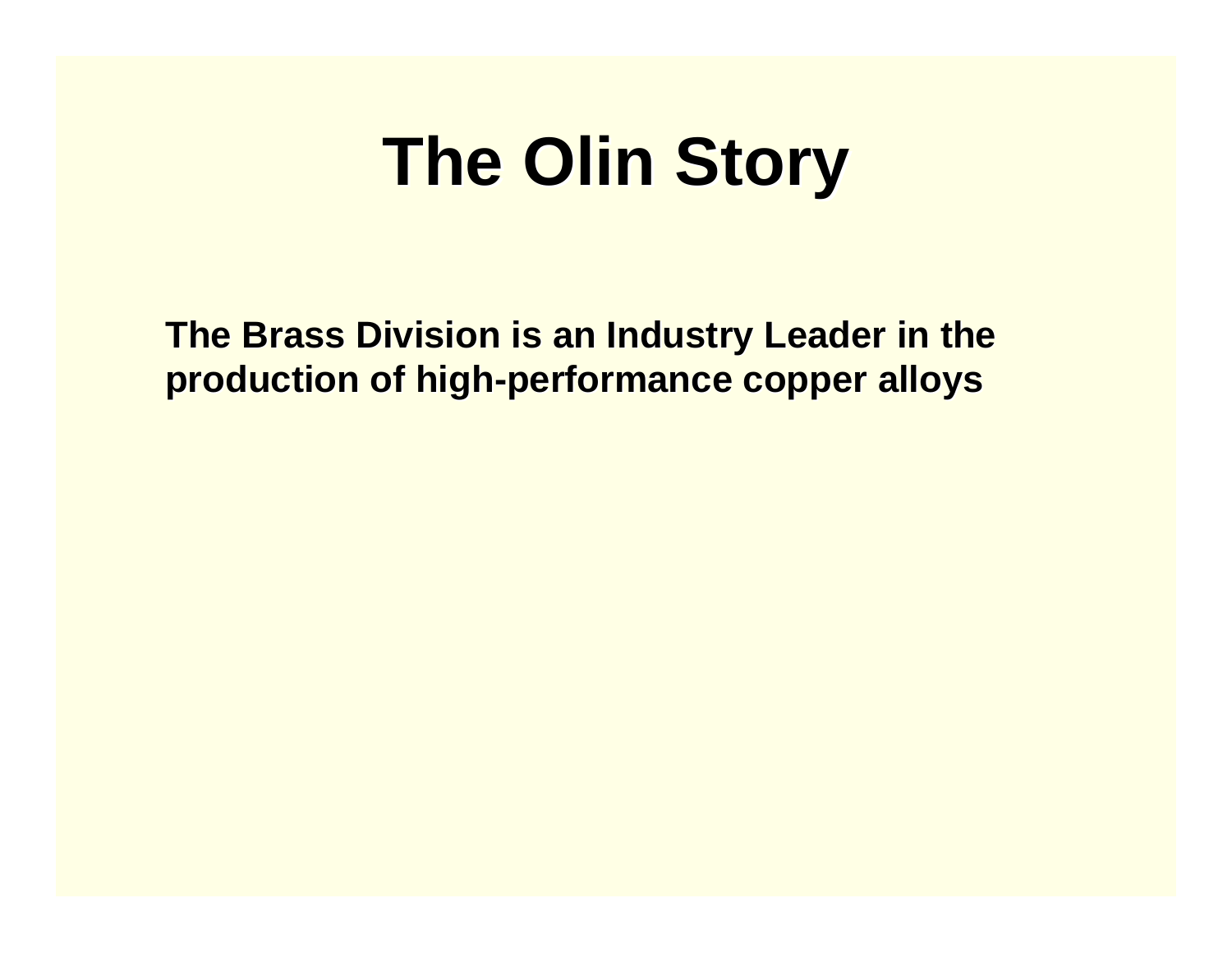**The Brass Division is an Industry Leader in the production of high production of high -performance copper alloys performance copper alloys**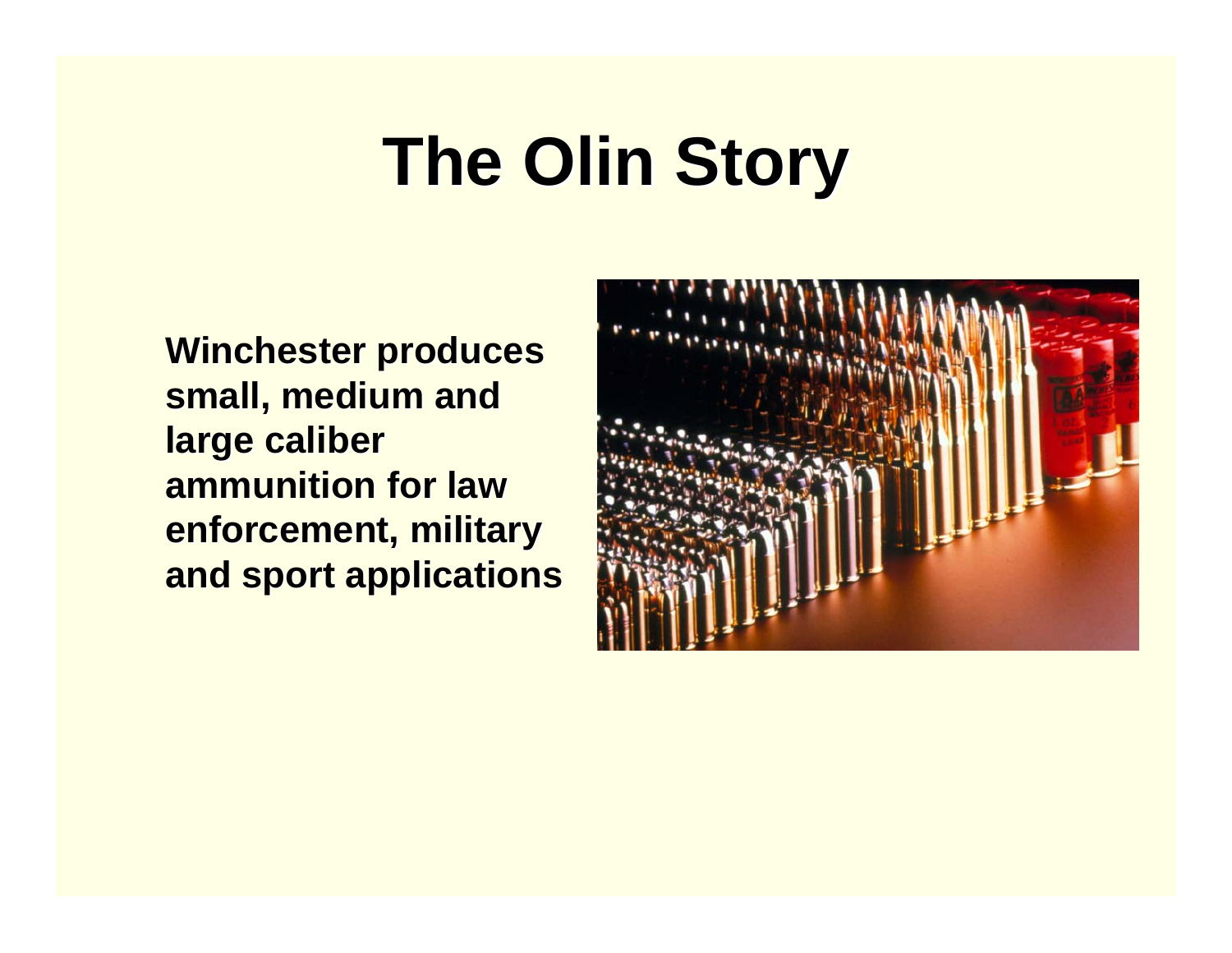**Winchester produces** small, medium and **large caliber ammunition for law enforcement, military and sport applications and sport applications**

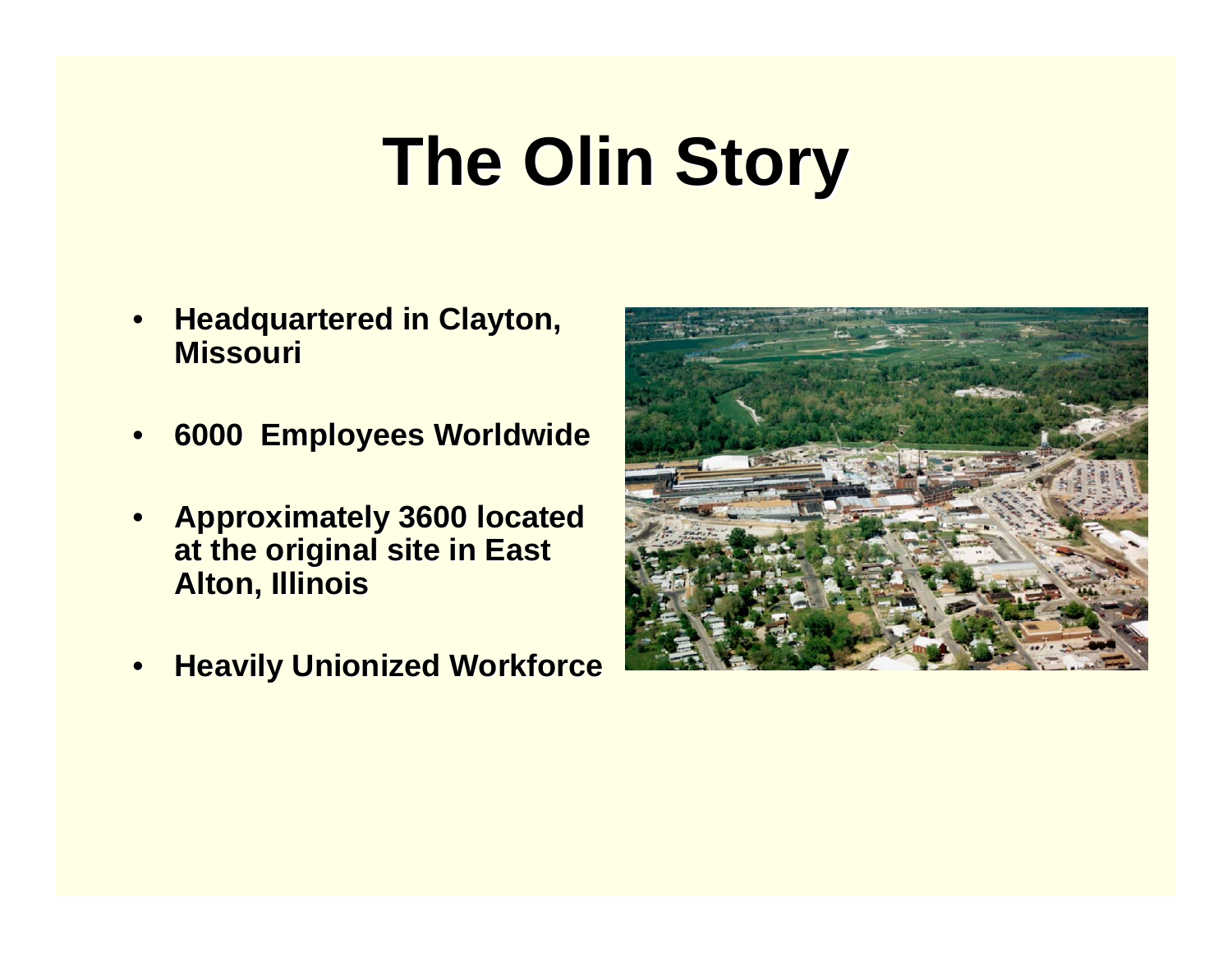- •**Headquartered in Clayton, Missouri Missouri**
- •**6000 Employees Worldwide 6000 Employees Worldwide**
- • **Approximately 3600 located Approximately 3600 located at the original site in East Alton, Illinois Alton, Illinois**
- •**Heavily Unionized Workforce**

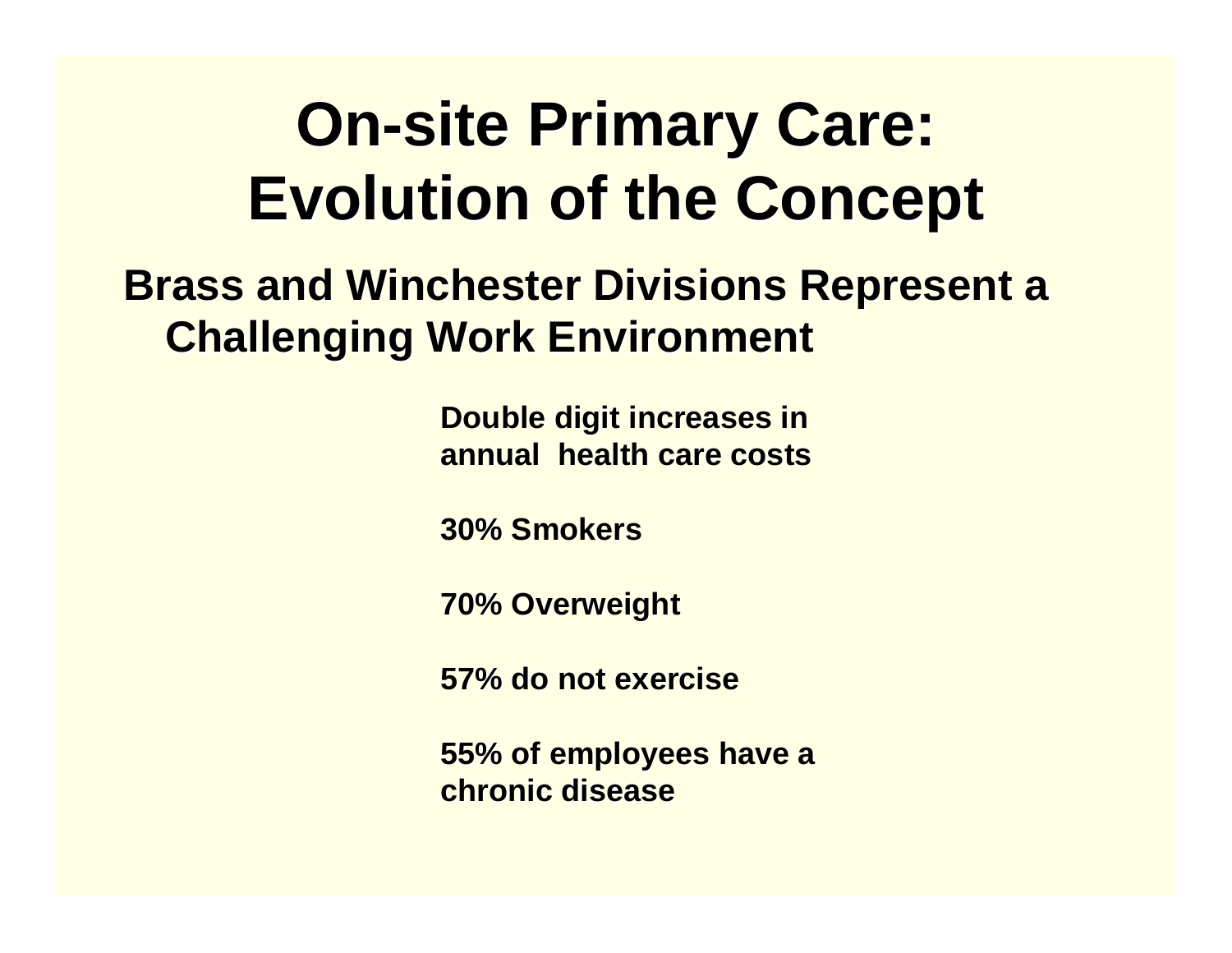#### **On-site Primary Care: Evolution of the Concept**

#### **Brass and Winchester Divisions Represent a Challenging Work Environment Challenging Work Environment**

**Double digit increases in annual health care costs annual health care costs**

**30% Smokers 30% Smokers**

**70% Overweight 70% Overweight**

**57% do not exercise 57% do not exercise**

**55% of employees have a 55% of employees have a chronic disease chronic disease**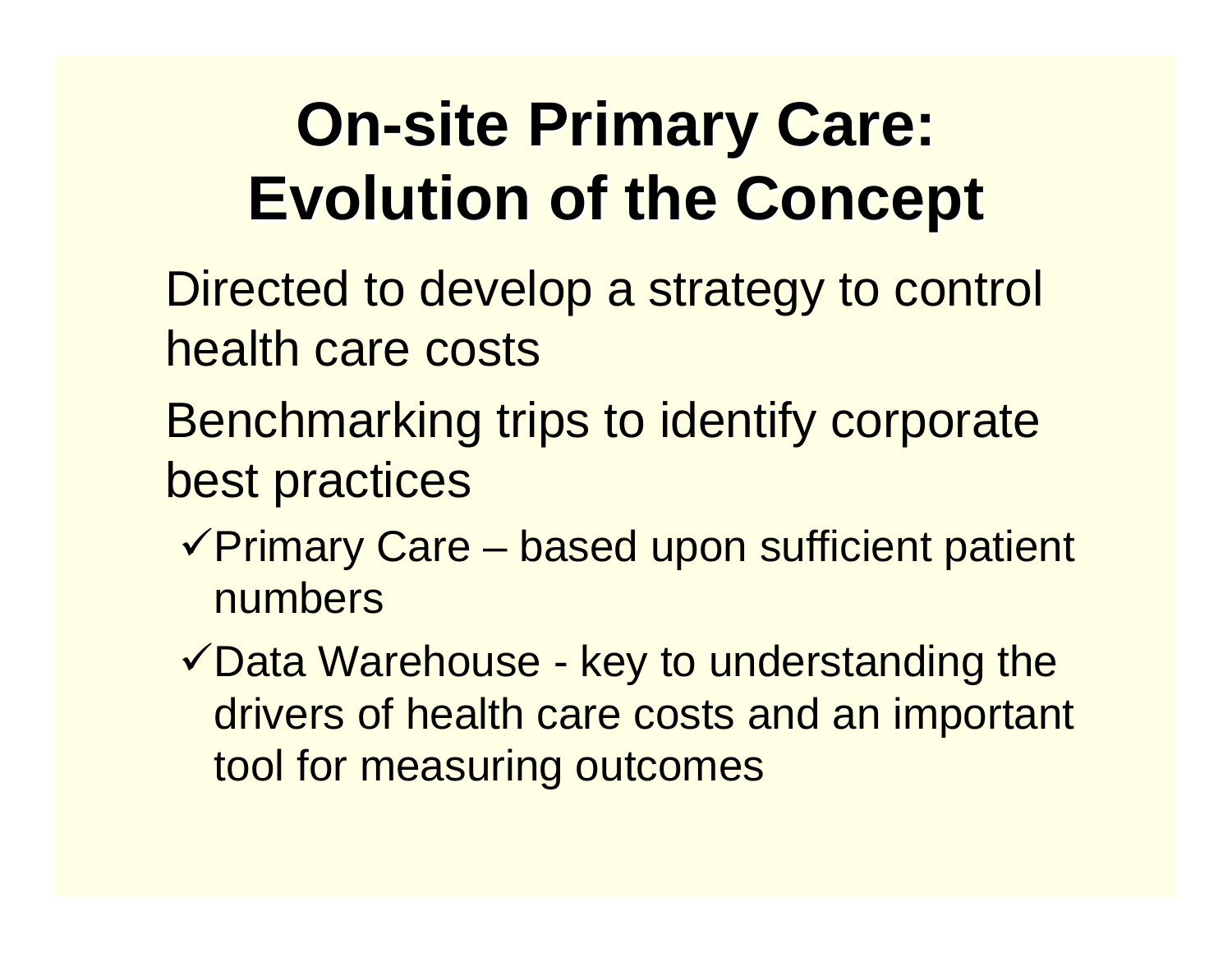#### **On-site Primary Care: Evolution of the Concept**

- Directed to develop a strategy to control health care costs
- Benchmarking trips to identify corporate best practices
	- $\sqrt{P}$ rimary Care based upon sufficient patient numbers
	- $\checkmark$  Data Warehouse key to understanding the drivers of health care costs and an important tool for measuring outcomes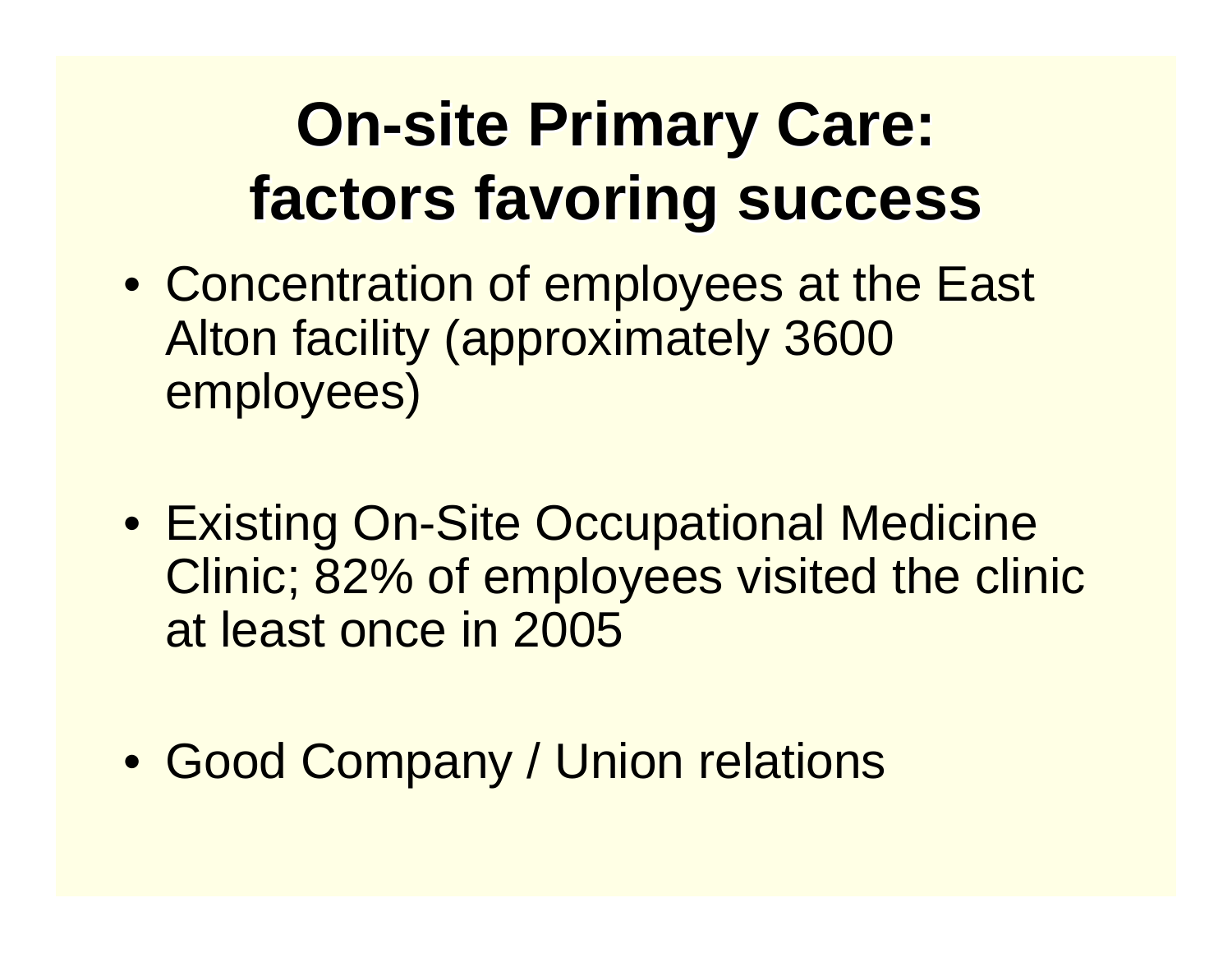#### **On-site Primary Care: site Primary Care: factors favoring success factors favoring success**

- Concentration of employees at the East Alton facility (approximately 3600 employees)
- Existing On-Site Occupational Medicine Clinic; 82% of employees visited the clinic at least once in 2005
- Good Company / Union relations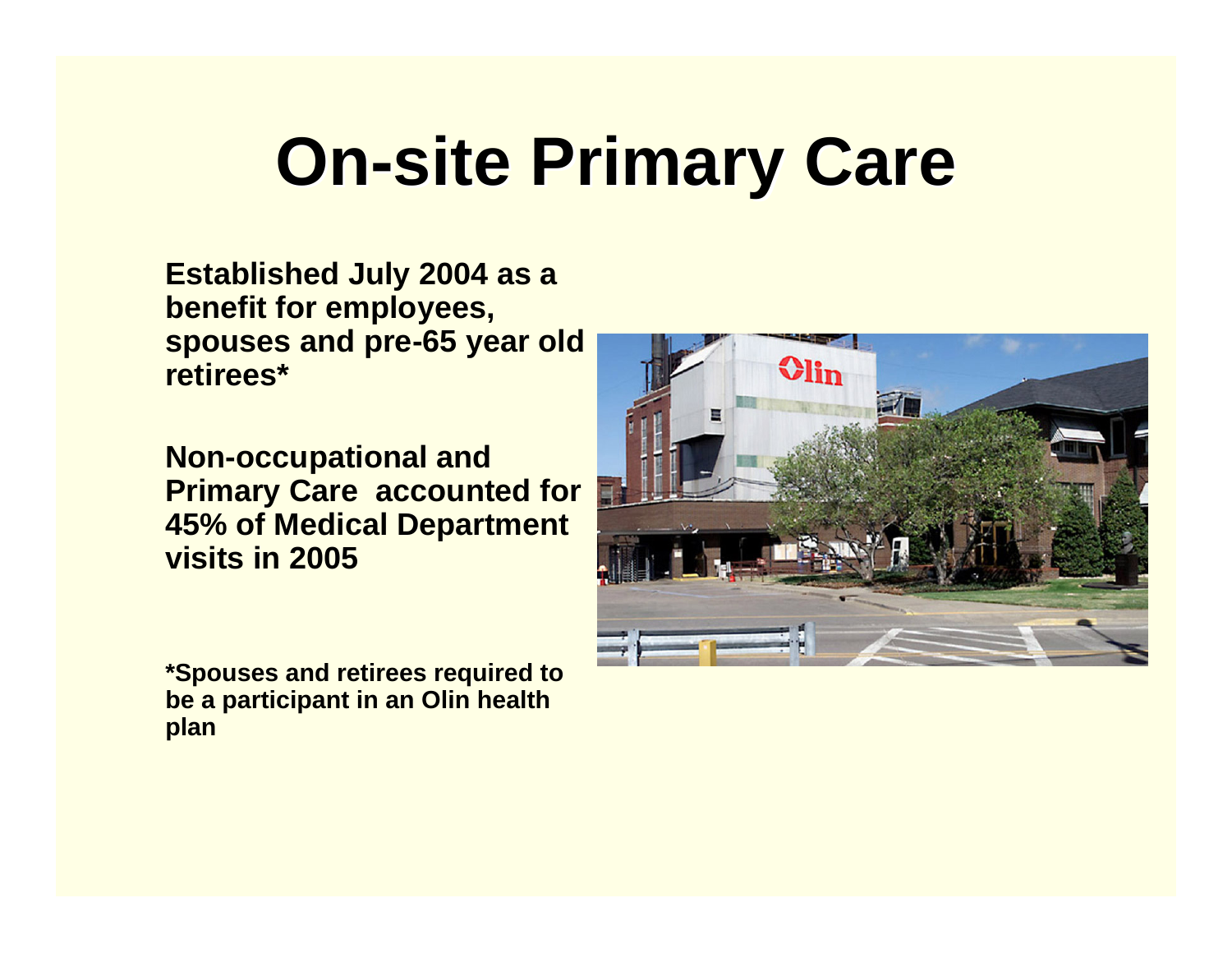## **On-site Primary Care site Primary Care**

**Established July 2004 as a benefit for employees, spouses and pre-65 year old retirees\*** 

**Non-occupational and Primary Care accounted for 45% of Medical Department visits in 2005**

**Olin** ET

**\*Spouses and retirees required to be a participant in an Olin health plan**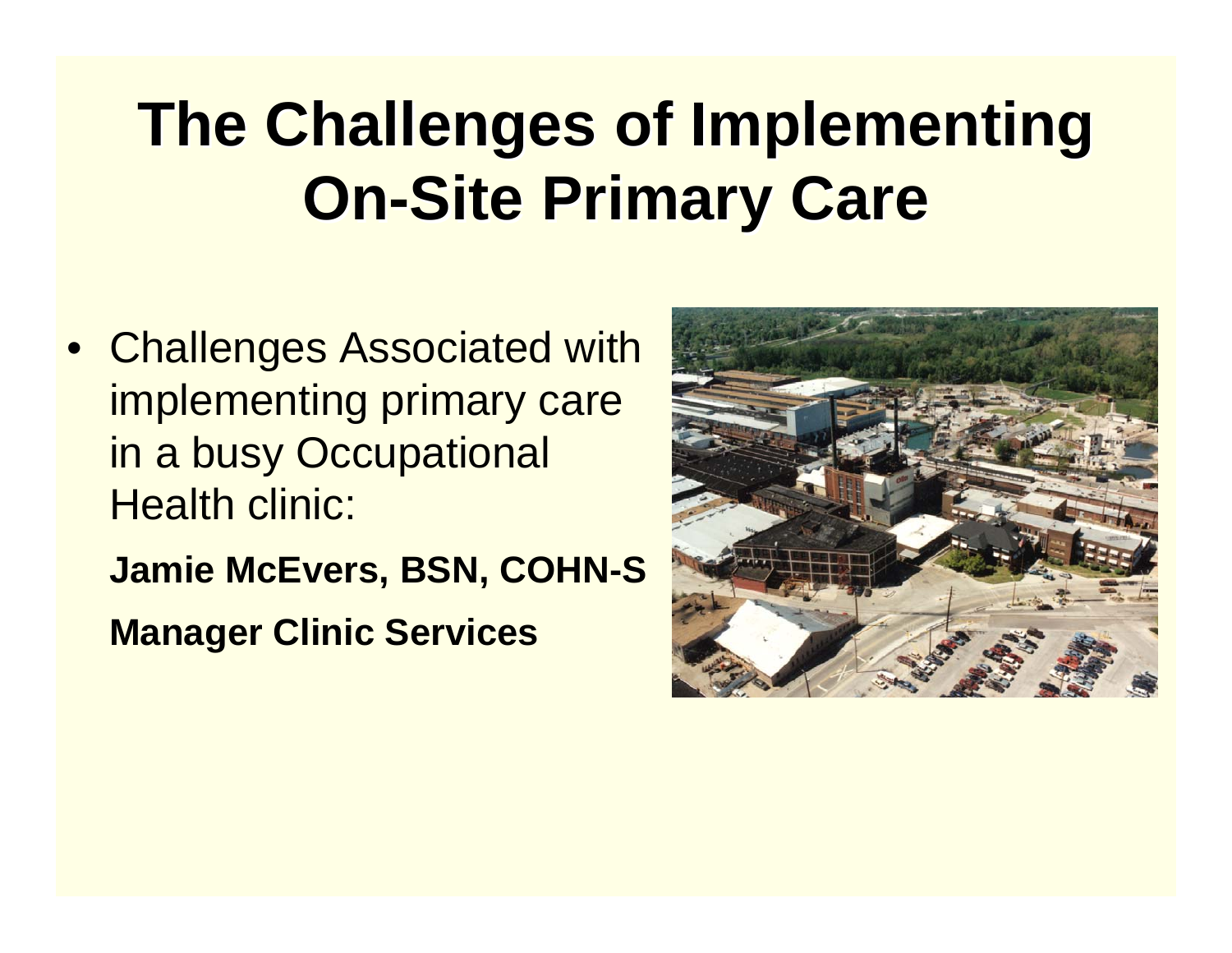#### **The Challenges of Implementing On-Site Primary Care**

- Challenges Associated with implementing primary care in a busy Occupational Health clinic:
	- **Jamie McEvers, BSN, COHN-S**
	- **Manager Clinic Services**

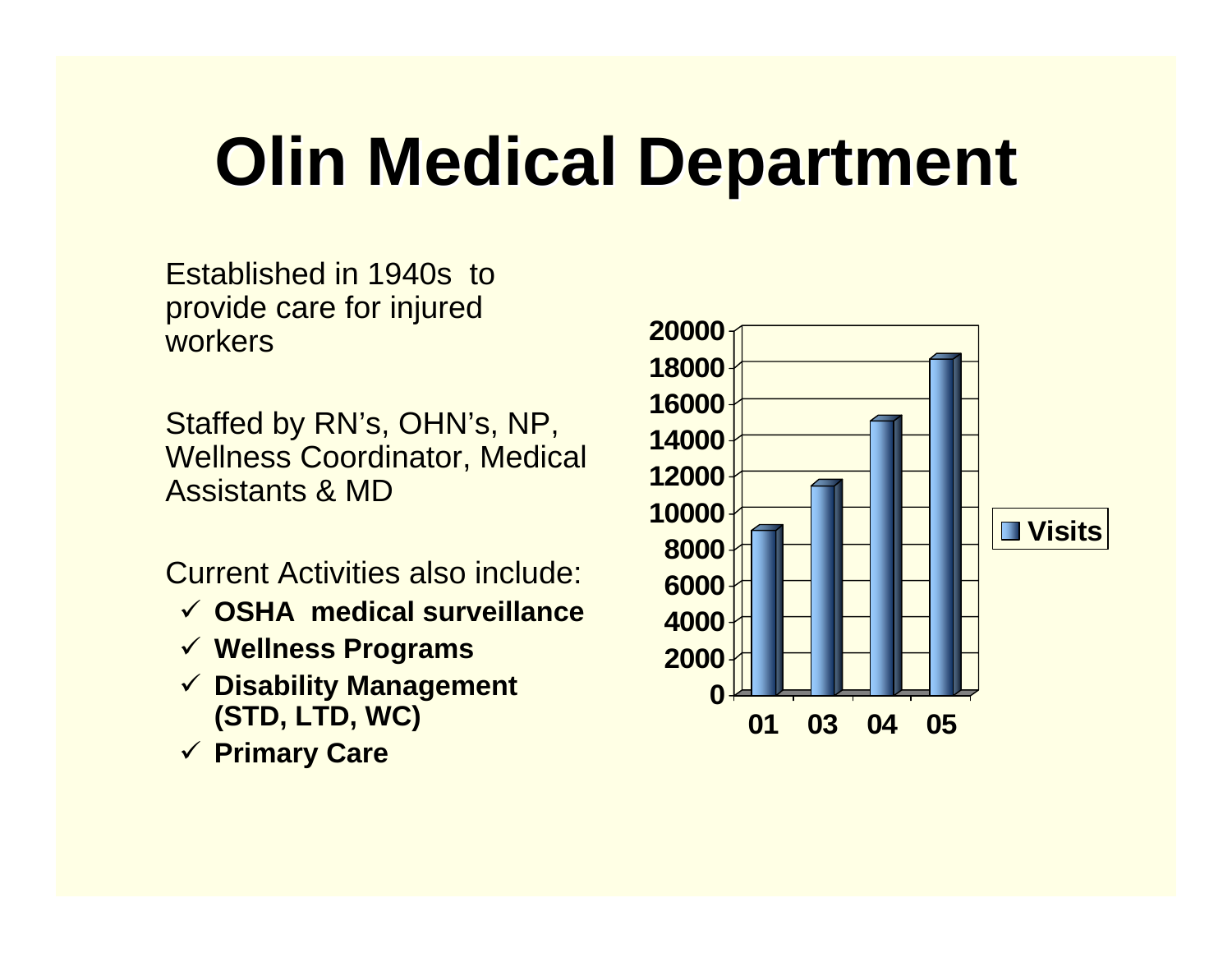### **Olin Medical Department Olin Medical Department**

Established in 1940s to provide care for injured workers

Staffed by RN's, OHN's, NP, Wellness Coordinator, Medical Assistants & MD

Current Activities also include:

- 9 **OSHA medical surveillance**
- 9 **Wellness Programs**
- 9 **Disability Management (STD, LTD, WC)**
- 9 **Primary Care**

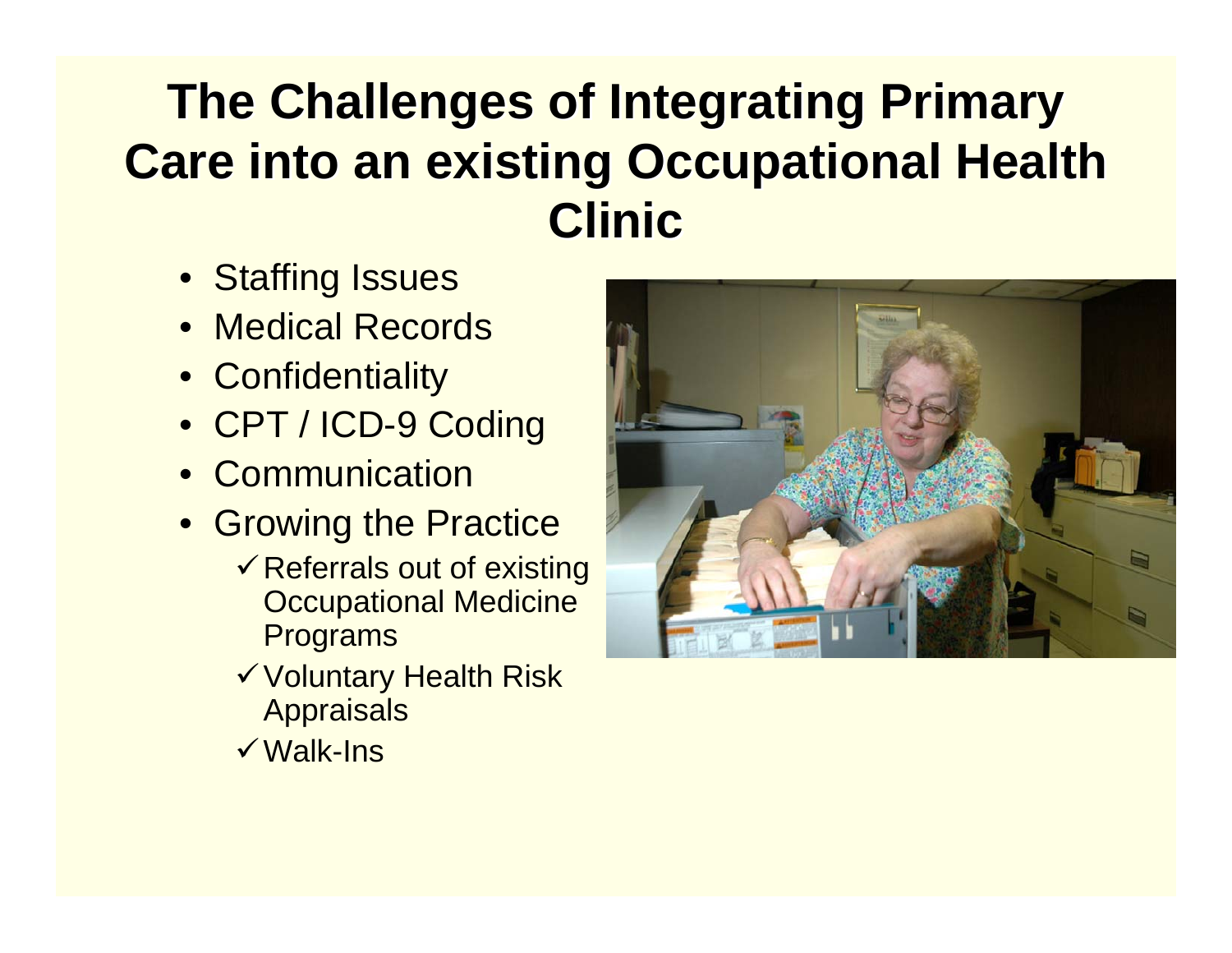#### **The Challenges of Integrating Primary Care into an existing Occupational Health Clinic**

- Staffing Issues
- Medical Records
- Confidentiality
- CPT / ICD-9 Coding
- Communication
- Growing the Practice
	- $\checkmark$  Referrals out of existing Occupational Medicine Programs
	- <sup>9</sup>Voluntary Health Risk **Appraisals**
	- **√Walk-Ins**

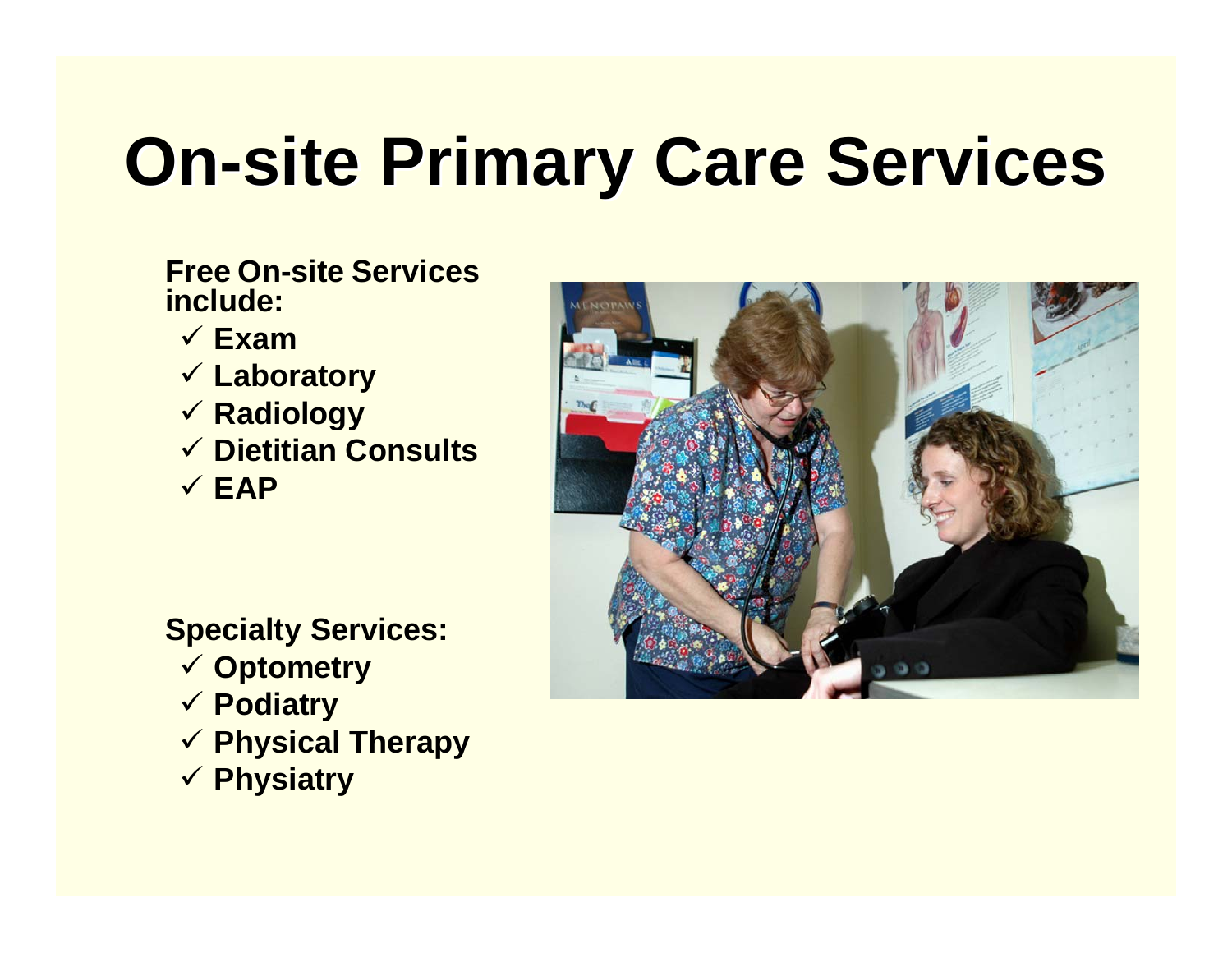# **On-site Primary Care Services**

#### **Free On-site Services include:**

- 9 **Exam**
- 9 **Laboratory**
- 9 **Radiology**
- 9 **Dietitian Consults**
- 9 **EAP**

#### **Specialty Services:**

- 9 **Optometry**
- 9 **Podiatry**
- 9 **Physical Therapy**
- 9 **Physiatry**

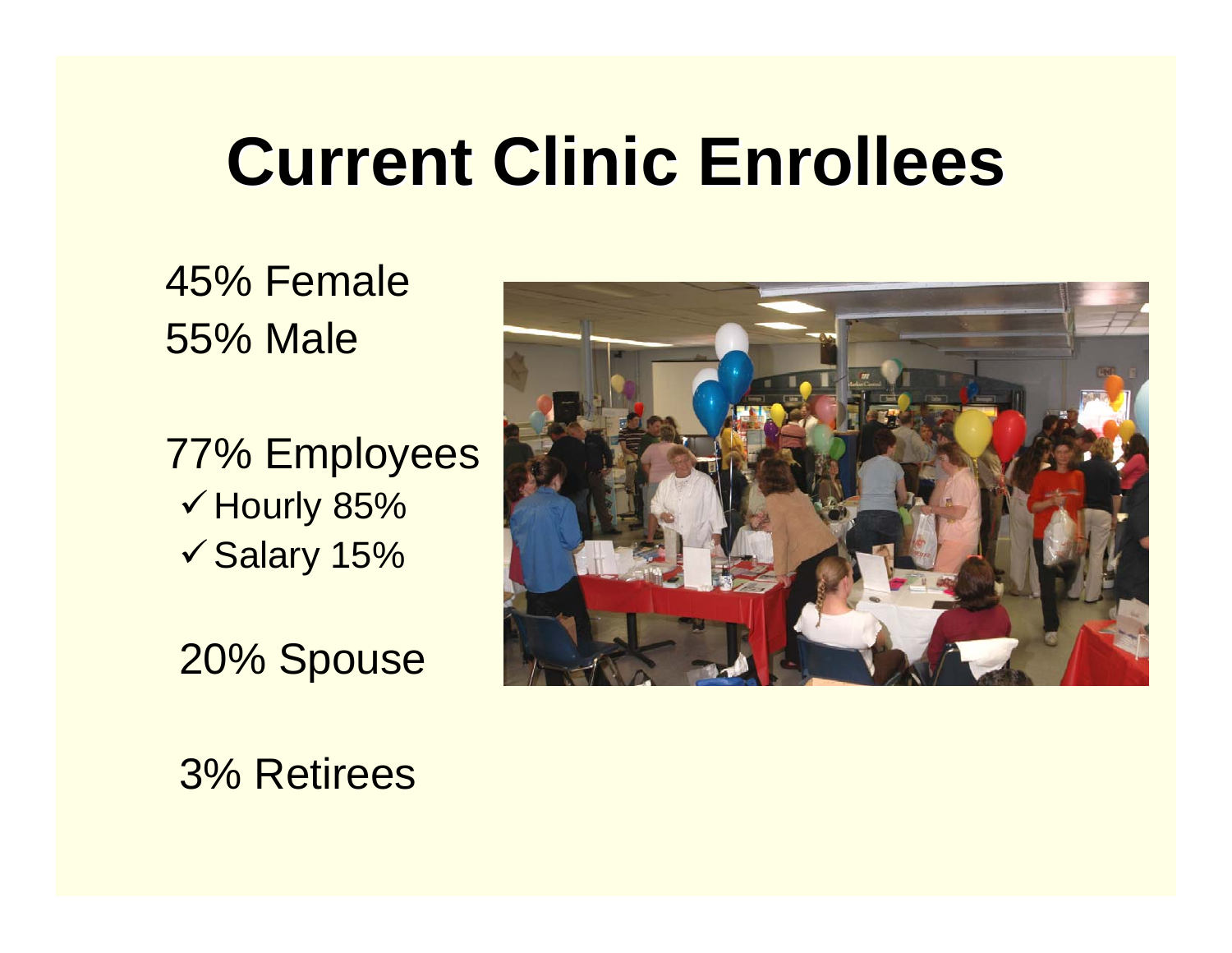### **Current Clinic Enrollees Current Clinic Enrollees**

#### 45% Female 55% Male

77% Employees  $\checkmark$  Hourly 85%  $\checkmark$  Salary 15%

20% Spouse



3% Retirees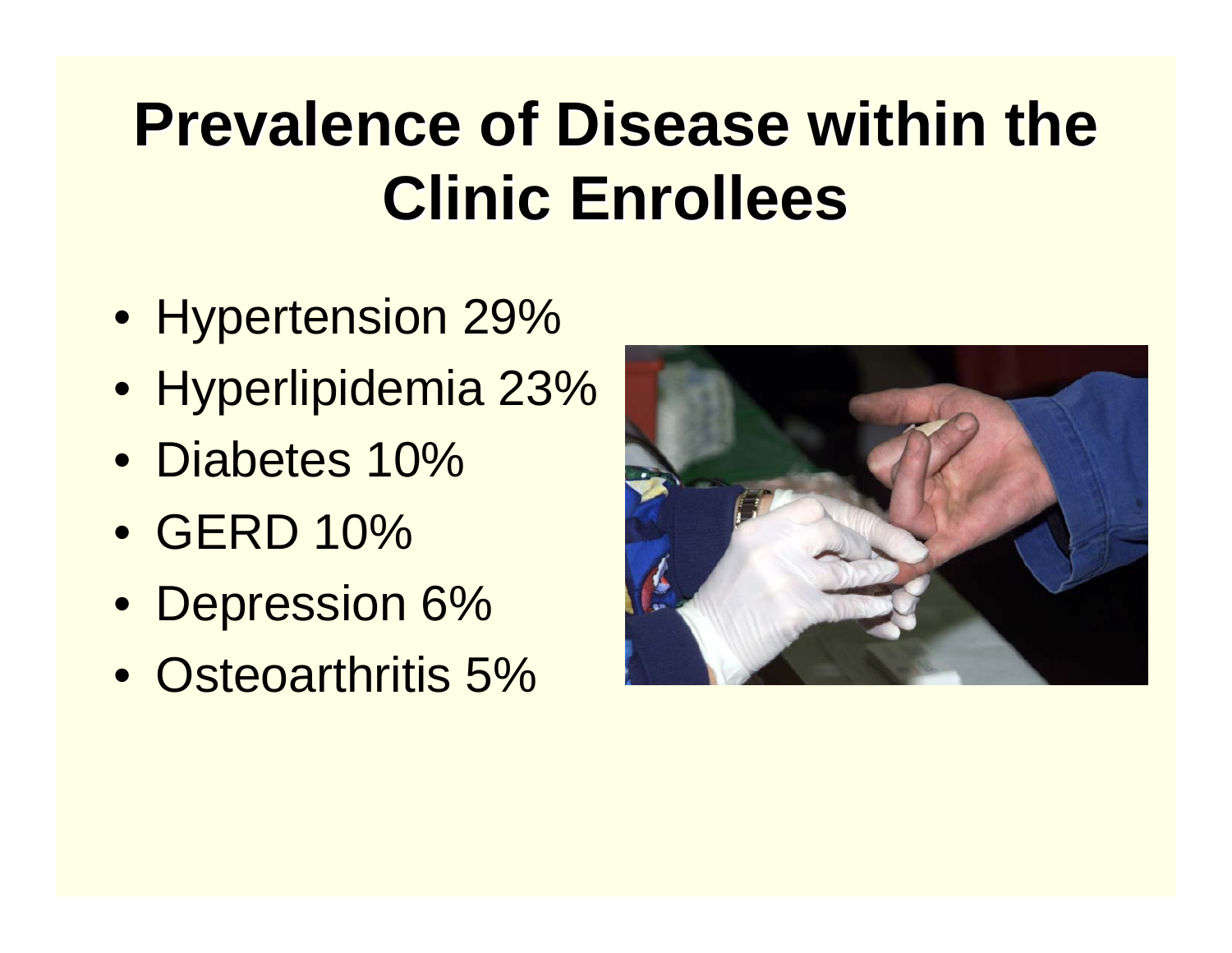### **Prevalence of Disease within the Clinic Enrollees Clinic Enrollees**

- Hypertension 29%
- Hyperlipidemia 23%
- Diabetes 10%
- GERD 10%
- Depression 6%
- Osteoarthritis 5%

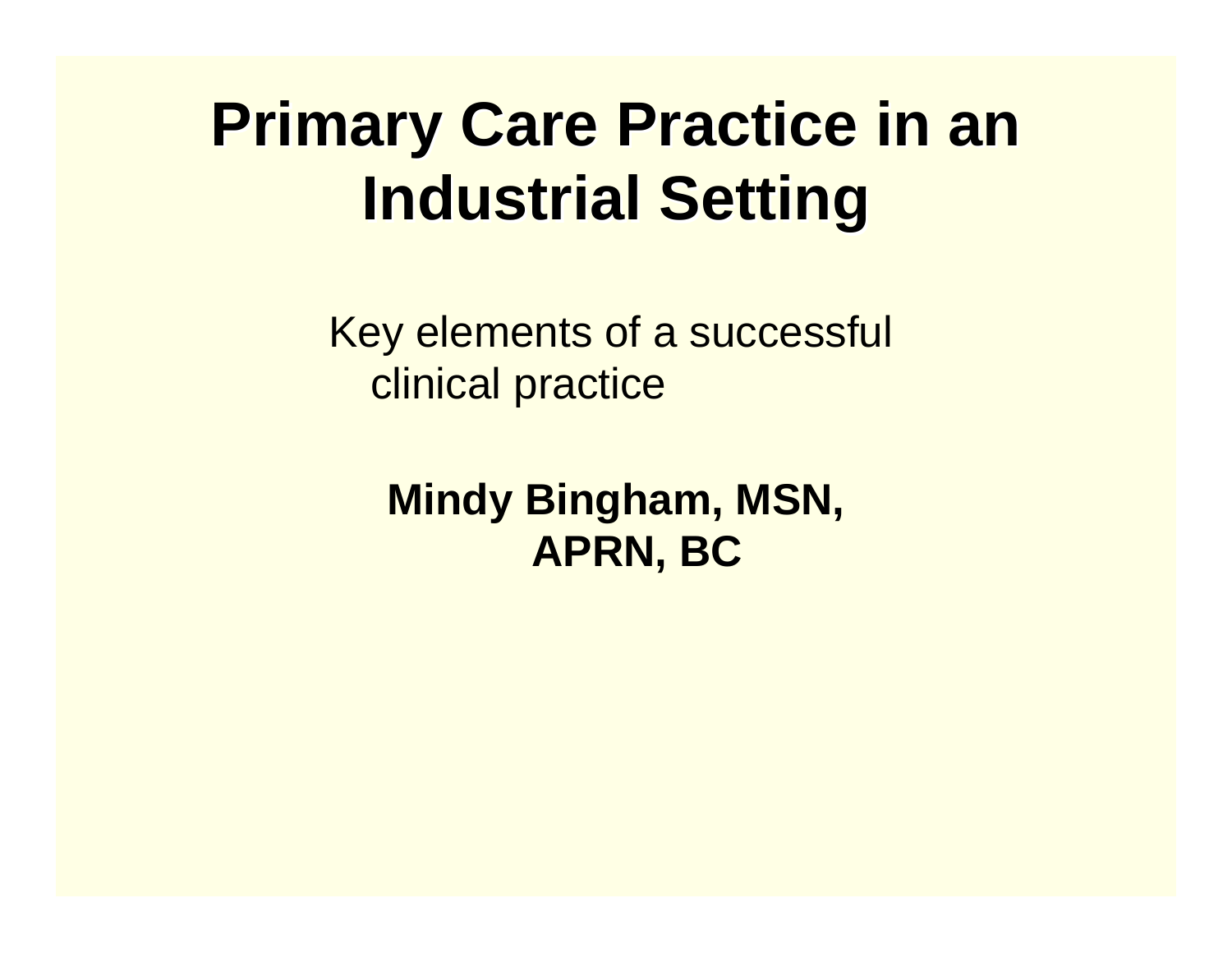#### **Primary Care Practice in an Industrial Setting Industrial Setting**

Key elements of a successful clinical practice

> **Mindy Bingham, MSN, APRN, BC**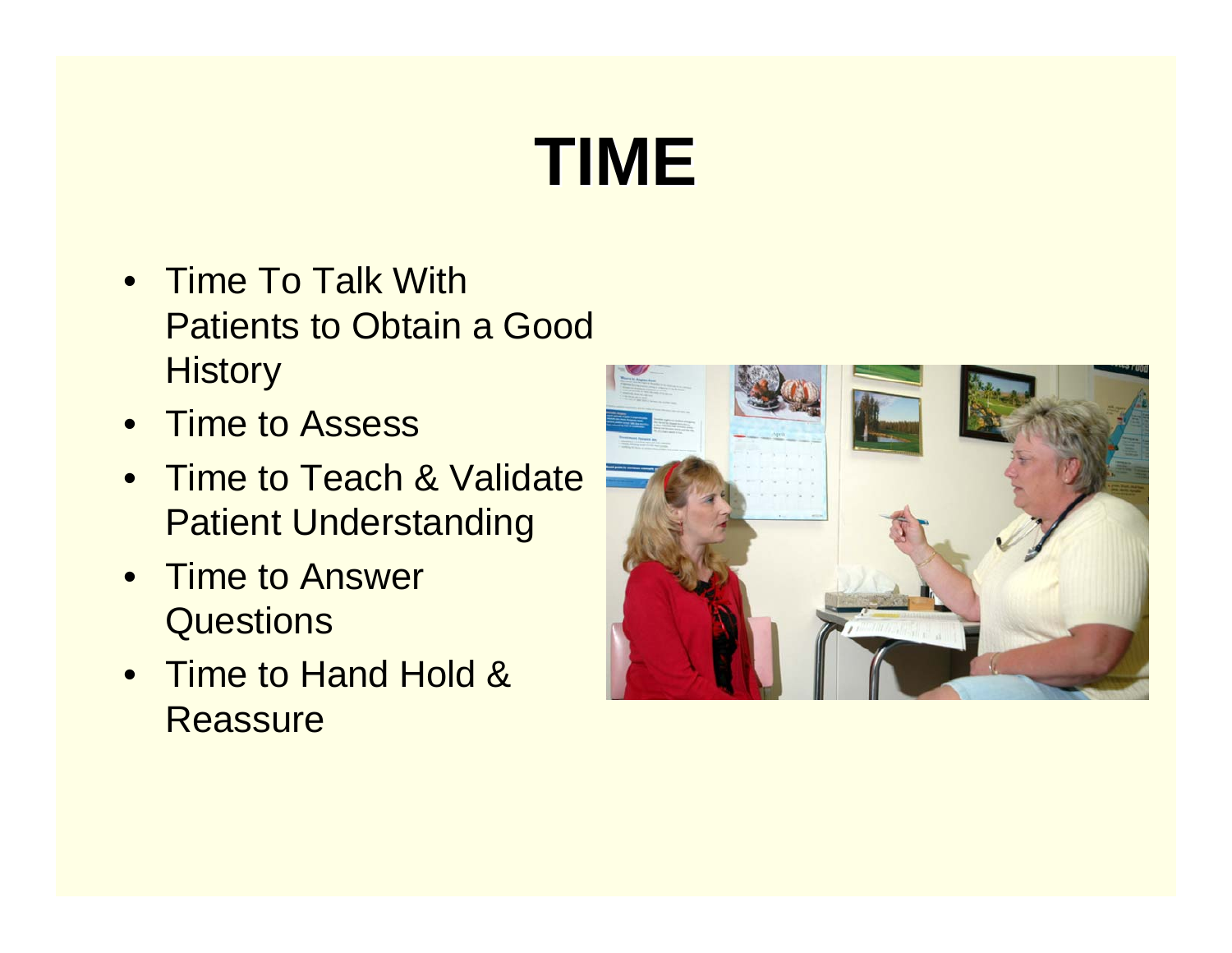## **TIME**

- Time To Talk With Patients to Obtain a Good **History**
- $\bullet$ Time to Assess
- Time to Teach & Validate Patient Understanding
- $\bullet$  Time to Answer **Questions**
- Time to Hand Hold & **Reassure**

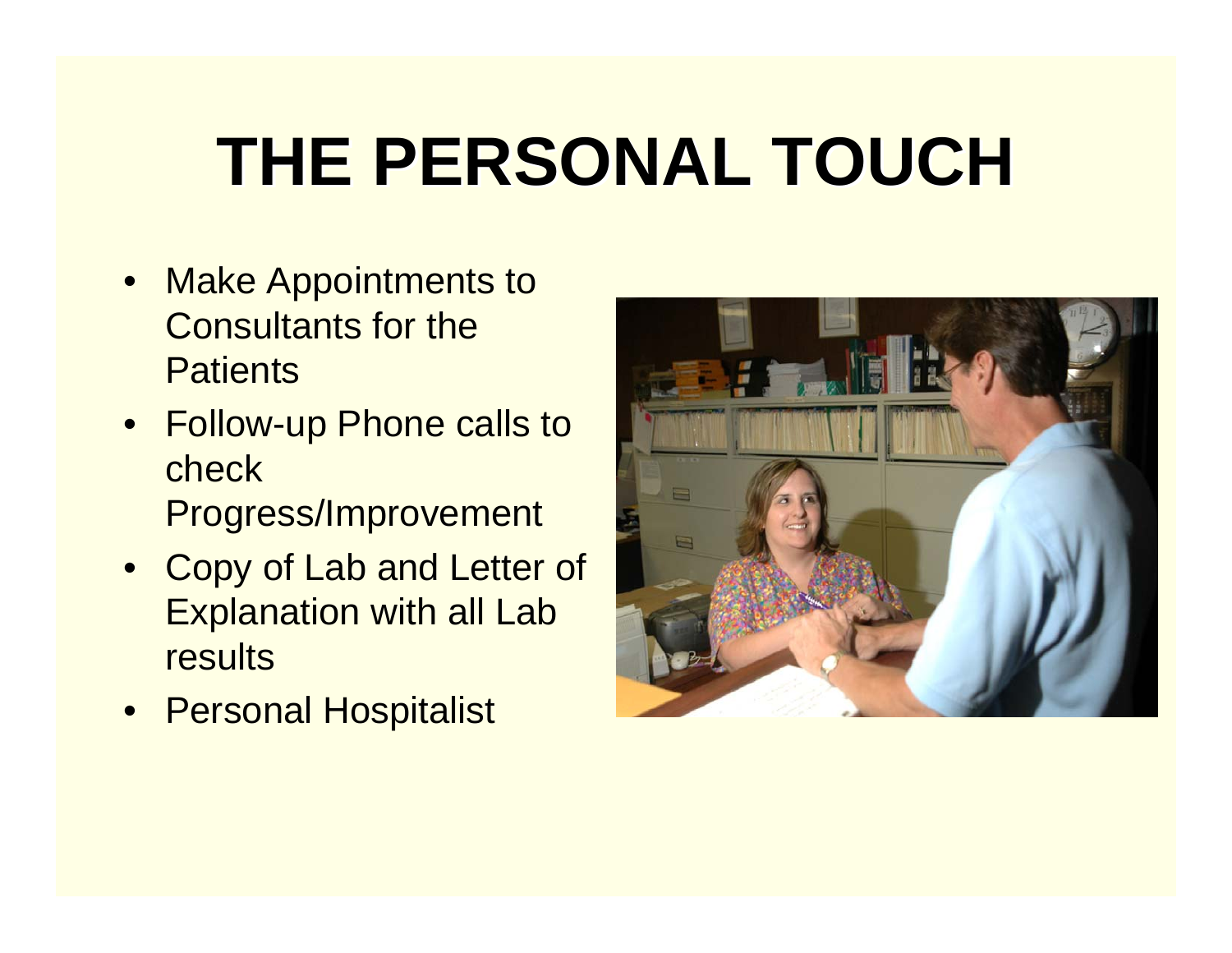# **THE PERSONAL TOUCH THE PERSONAL TOUCH**

- • Make Appointments to Consultants for the **Patients**
- Follow-up Phone calls to check Progress/Improvement
- Copy of Lab and Letter of Explanation with all Lab results
- Personal Hospitalist

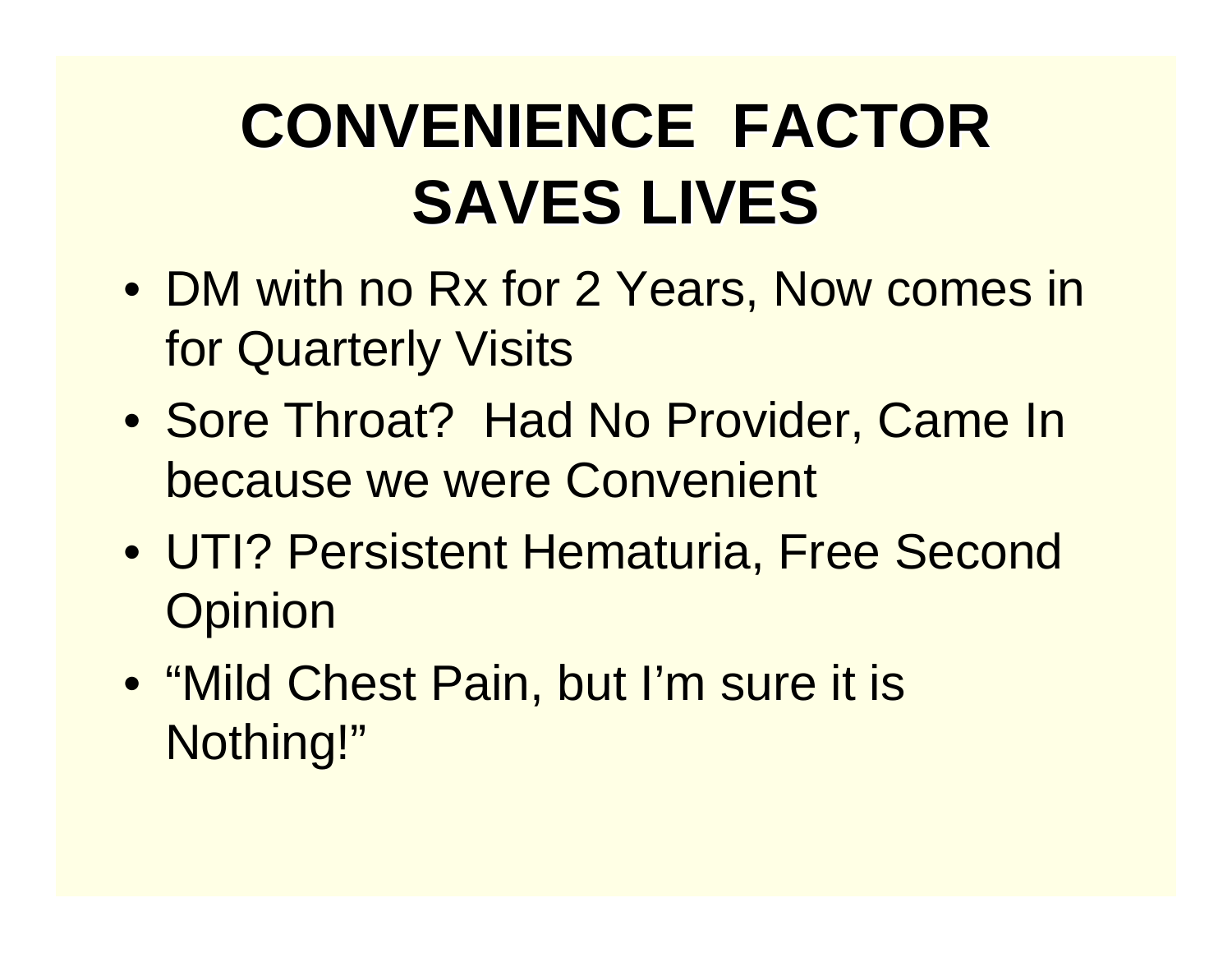### **CONVENIENCE CONVENIENCE FACTOR SAVES LIVES**

- DM with no Rx for 2 Years, Now comes in for Quarterly Visits
- Sore Throat? Had No Provider, Came In because we were Convenient
- UTI? Persistent Hematuria, Free Second **Opinion**
- "Mild Chest Pain, but I'm sure it is Nothing!"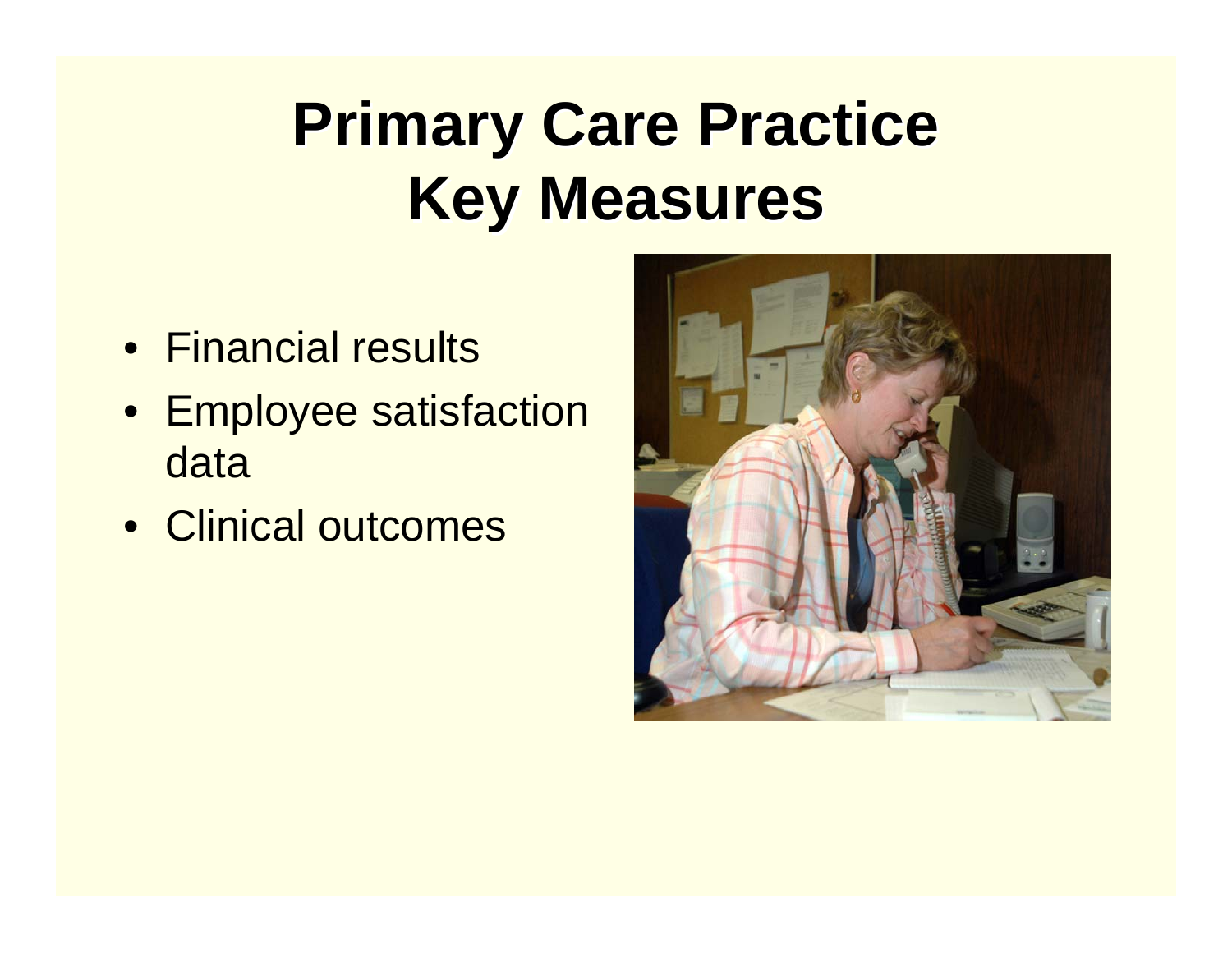#### **Primary Care Practice Key Measures Key Measures**

- Financial results
- Employee satisfaction data
- Clinical outcomes

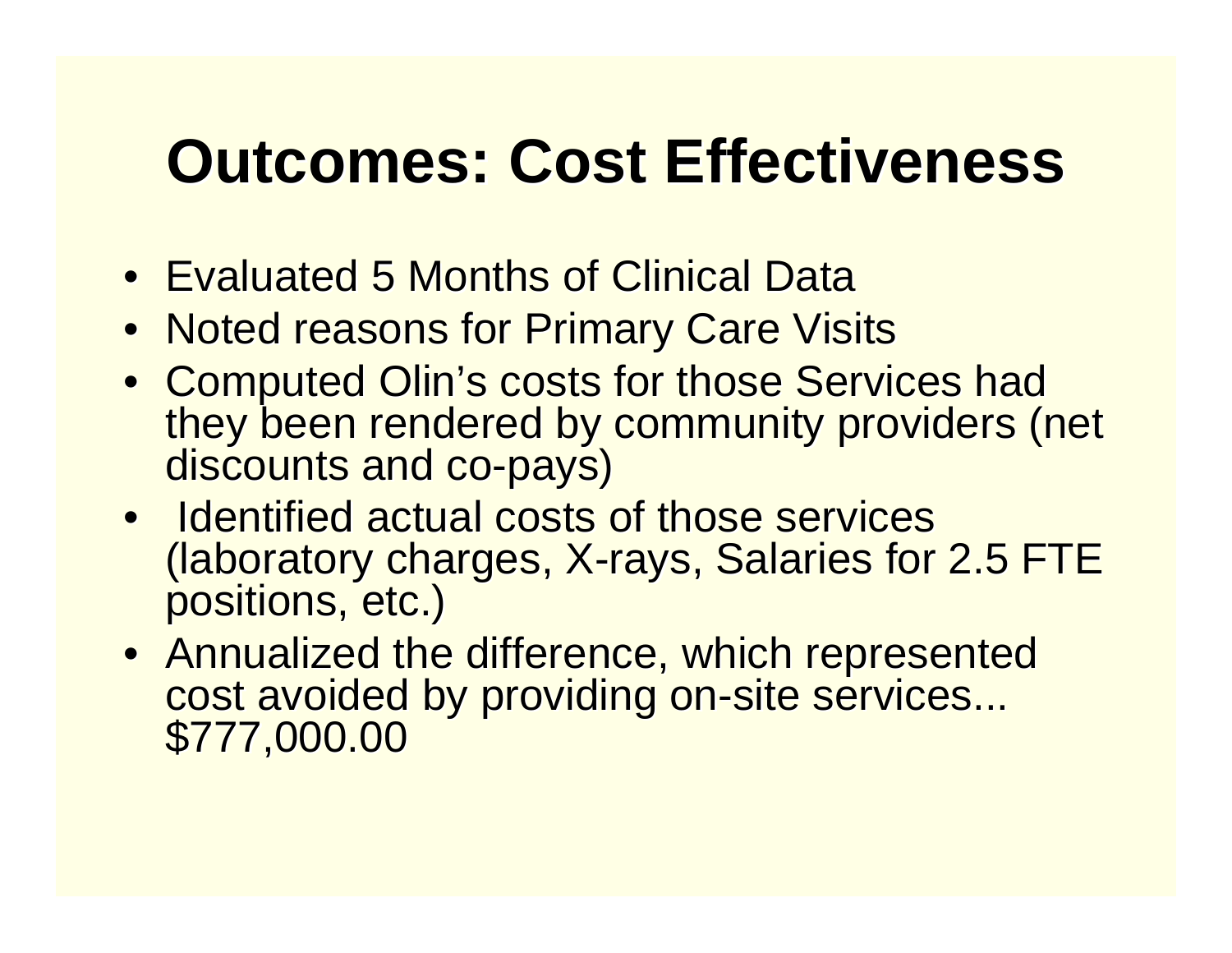#### **Outcomes: Cost Effectiveness Outcomes: Cost Effectiveness**

- Evaluated 5 Months of Clinical Data
- Noted reasons for Primary Care Visits
- Computed Olin's costs for those Services had they been rendered by community providers (net discounts and co -pays)
- Identified actual costs of those services (laboratory charges, X-rays, Salaries for 2.5 FTE<br>positions, etc.)
- Annualized the difference, which represented cost avoided by providing on-site services... cost avoided by providing on-site services... \$777,000.00 \$777,000.00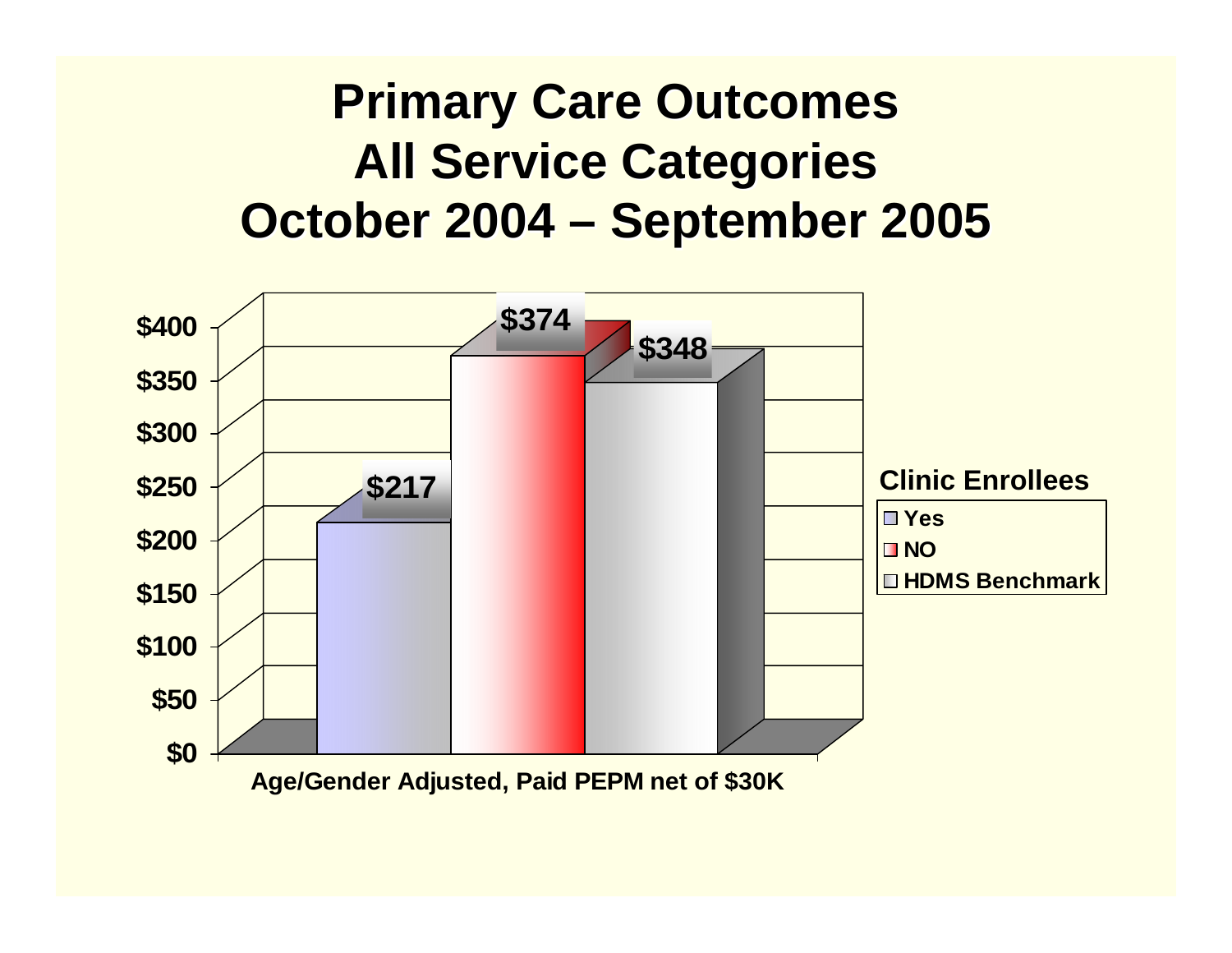#### **Primary Care Outcomes All Service Categories All Service Categories October 2004 ·** <u>– September 2005</u>

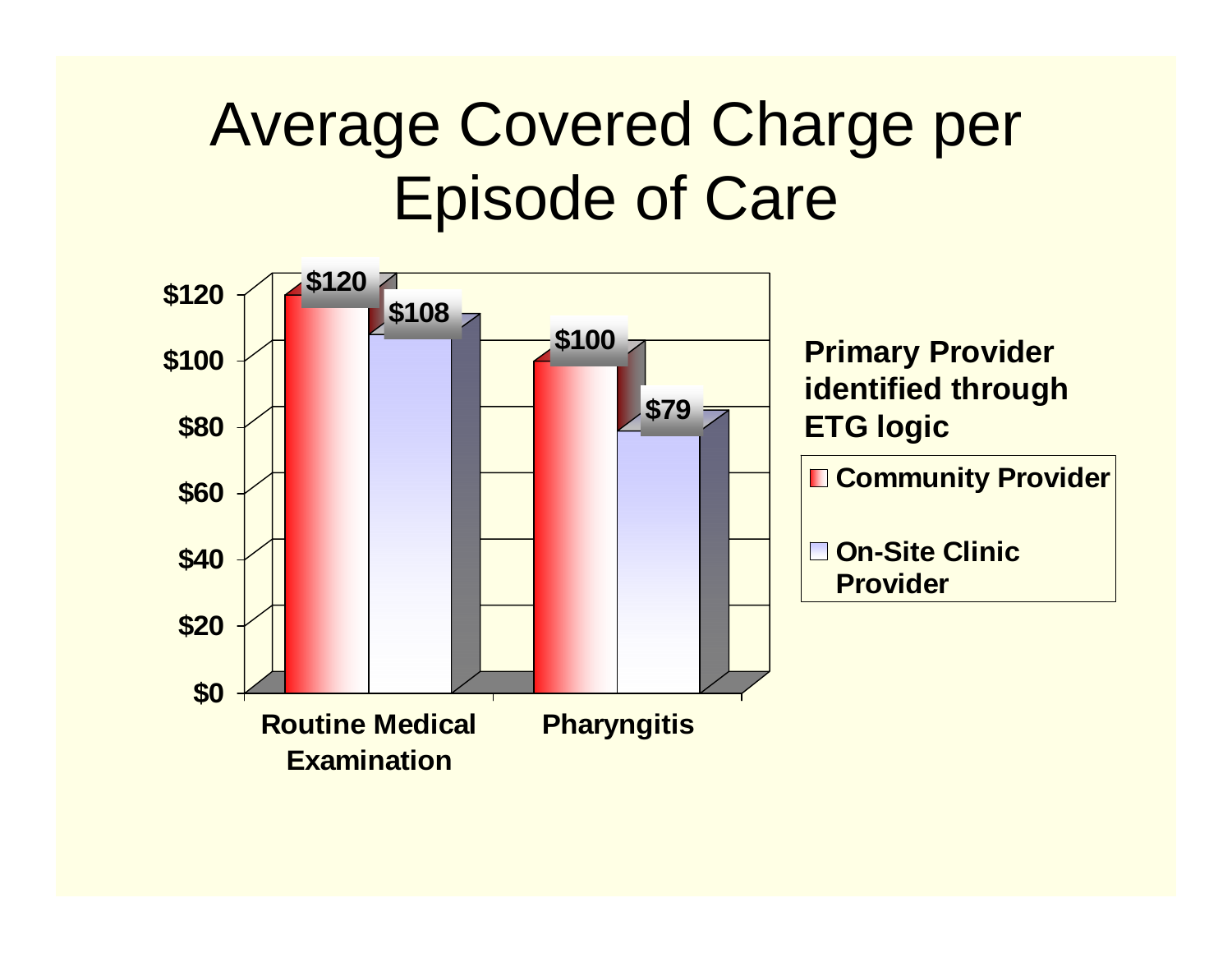#### Average Covered Charge per Episode of Care

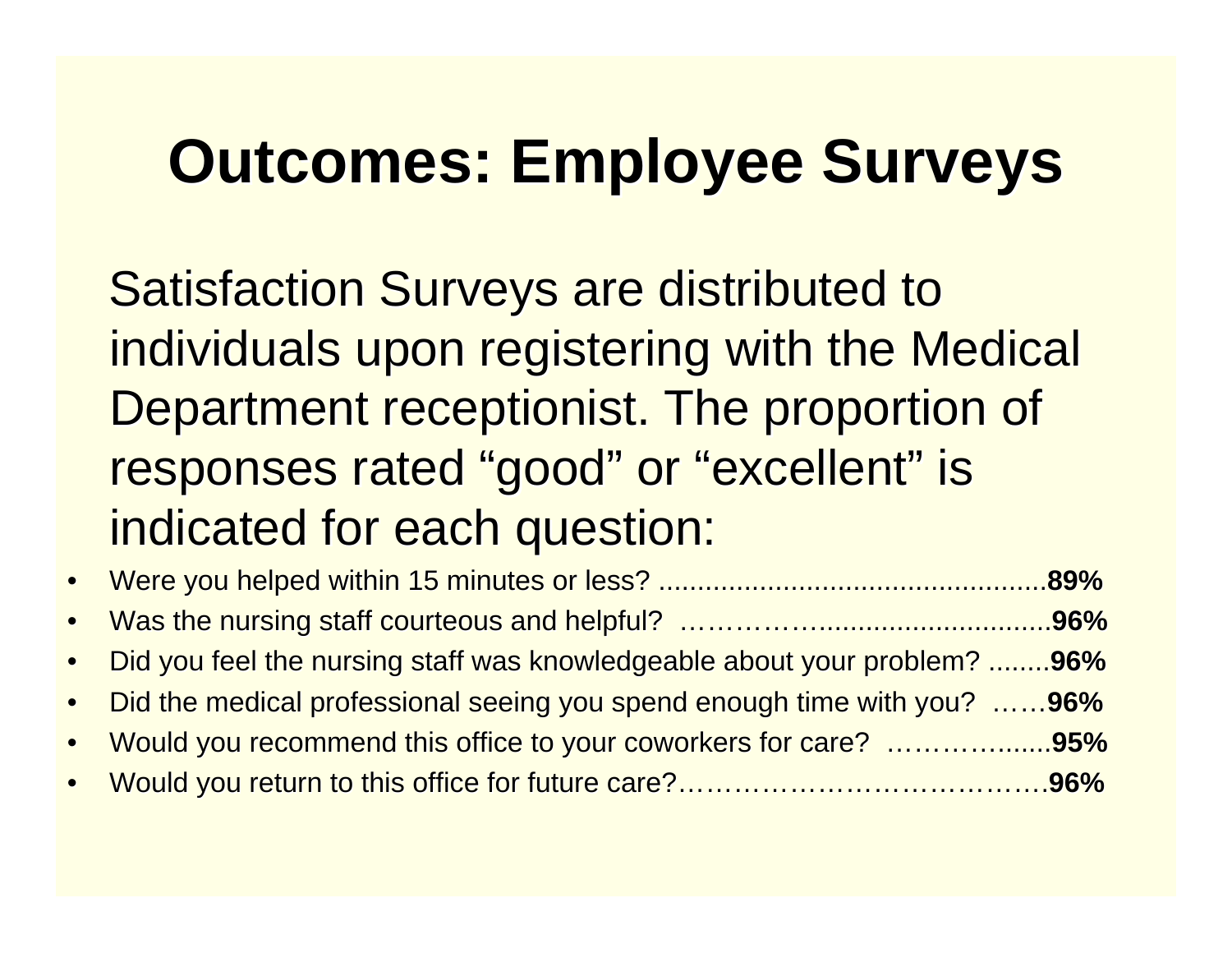#### **Outcomes: Employee Surveys Outcomes: Employee Surveys**

**Satisfaction Surveys are distributed to** individuals upon registering with the Medical Department receptionist. The proportion of responses rated "good" or "excellent" is indicated for each question:

| • Did you feel the nursing staff was knowledgeable about your problem? 96% |  |
|----------------------------------------------------------------------------|--|
| • Did the medical professional seeing you spend enough time with you? 96%  |  |
| • Would you recommend this office to your coworkers for care? 95%          |  |
|                                                                            |  |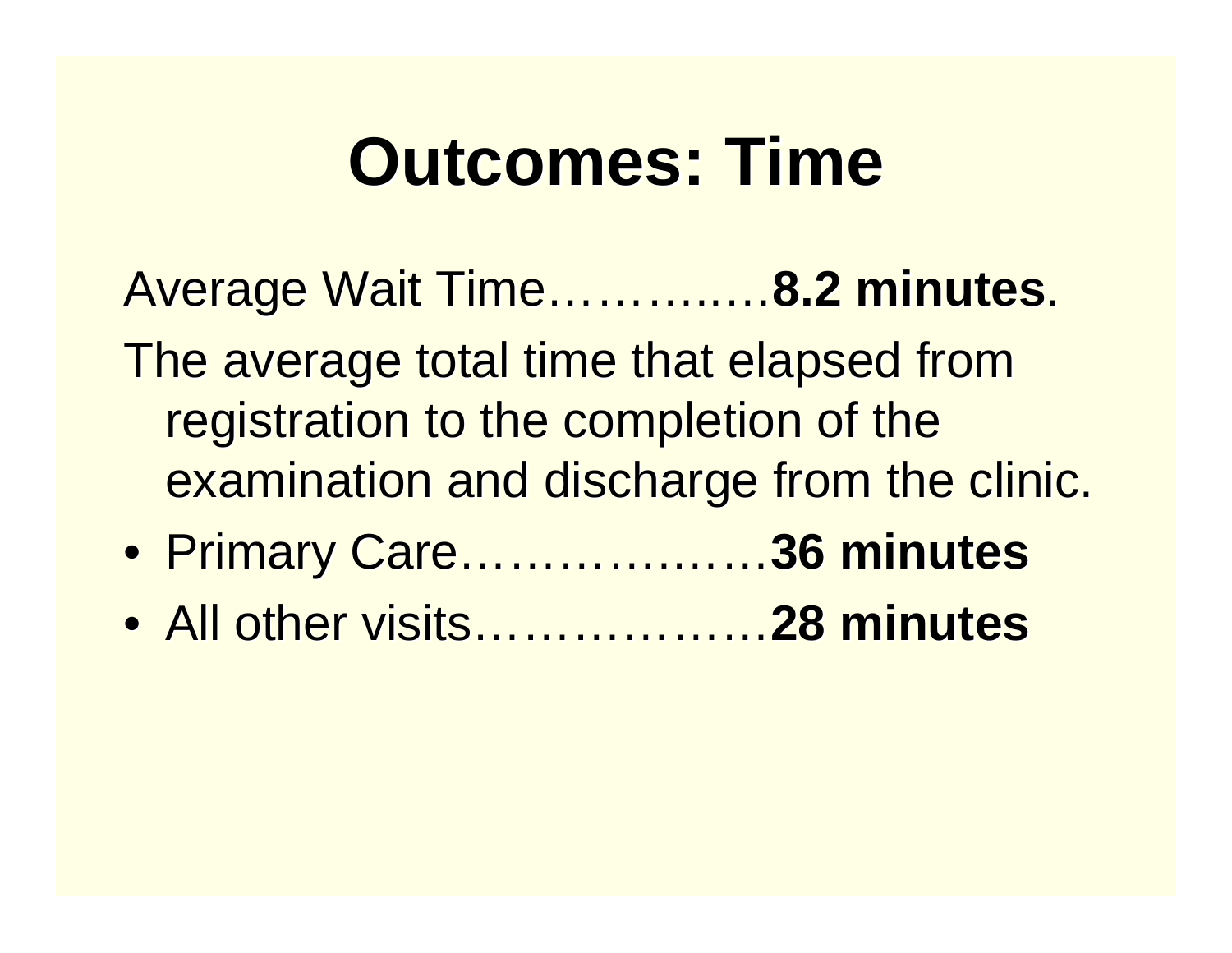### **Outcomes: Time Outcomes: Time**

Average Wait Time Average Wait Time……….. …**8.2 minutes 8.2 minutes**. The average total time that elapsed from registration to the completion of the examination and discharge from the clinic.

- Primary Care Primary Care………….……**36 minutes 36 minutes**
- All other visits All other visits………………**28 minutes 28 minutes**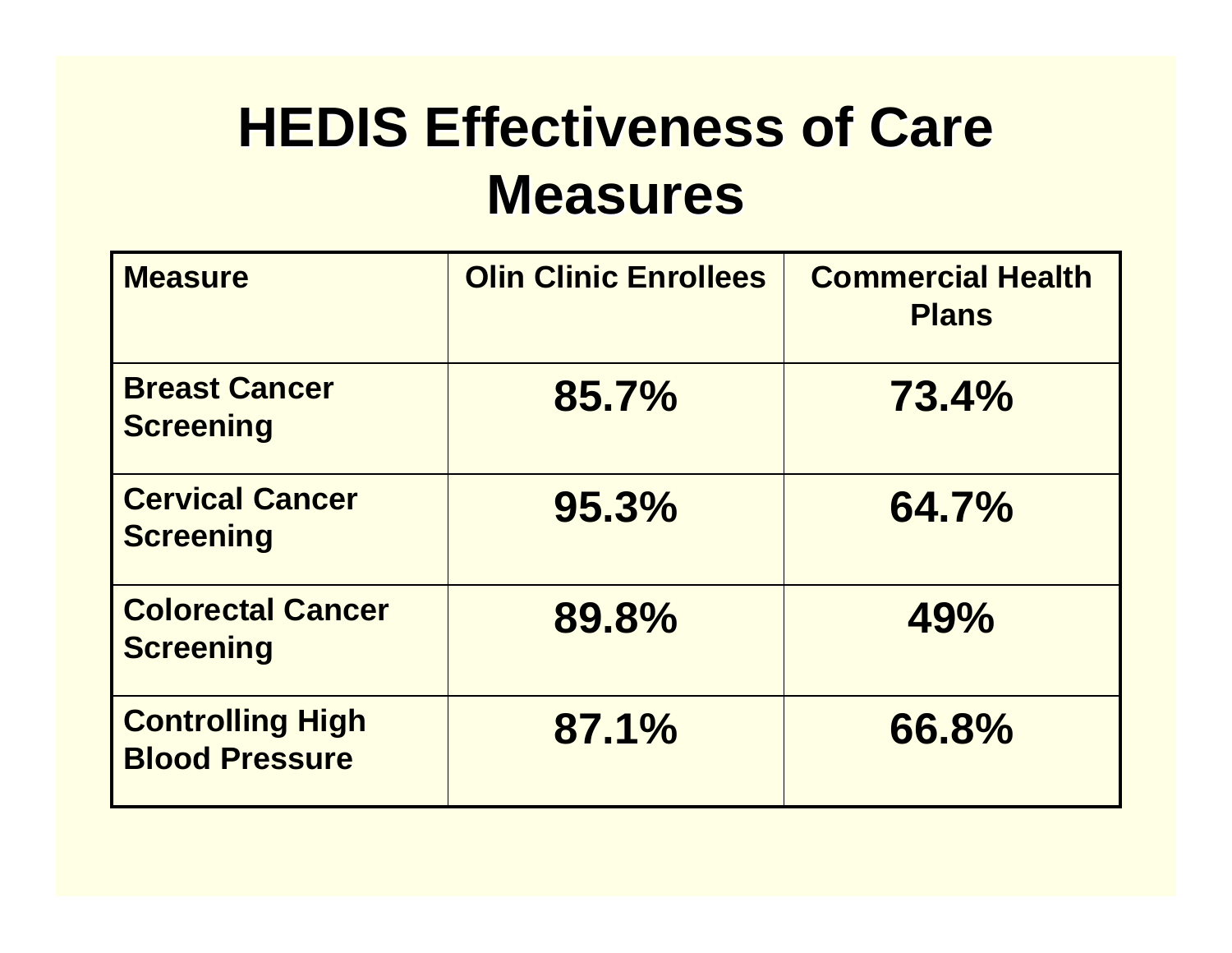#### **HEDIS Effectiveness of Care Measures Measures**

| <b>Measure</b>                                   | <b>Olin Clinic Enrollees</b> | <b>Commercial Health</b><br><b>Plans</b> |
|--------------------------------------------------|------------------------------|------------------------------------------|
| <b>Breast Cancer</b><br><b>Screening</b>         | 85.7%                        | 73.4%                                    |
| <b>Cervical Cancer</b><br><b>Screening</b>       | 95.3%                        | 64.7%                                    |
| <b>Colorectal Cancer</b><br><b>Screening</b>     | 89.8%                        | 49%                                      |
| <b>Controlling High</b><br><b>Blood Pressure</b> | 87.1%                        | 66.8%                                    |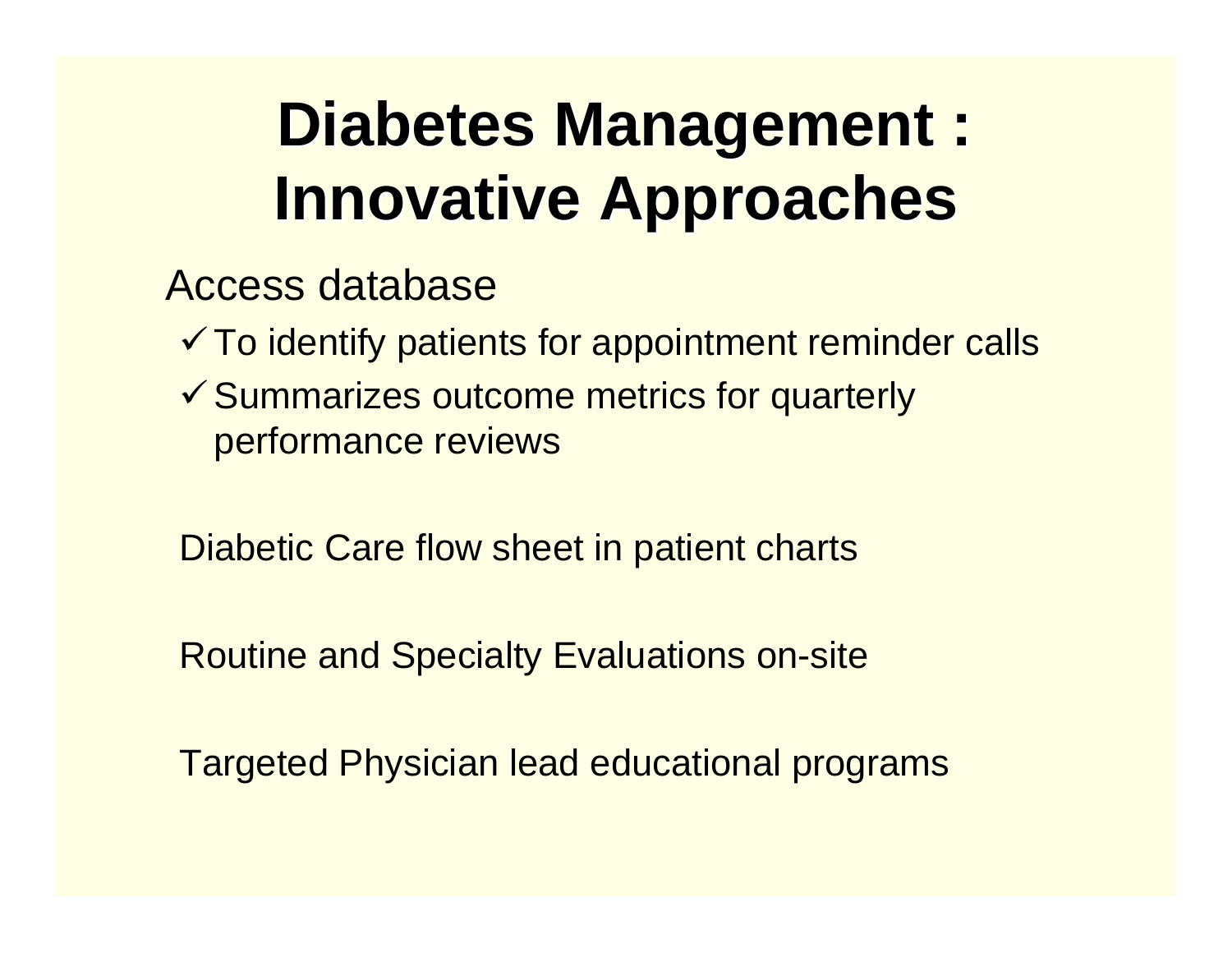#### **Diabetes Management : Innovative Approaches**

#### Access database

- $\checkmark$  To identify patients for appointment reminder calls
- $\checkmark$  Summarizes outcome metrics for quarterly performance reviews

Diabetic Care flow sheet in patient charts

Routine and Specialty Evaluations on-site

Targeted Physician lead educational programs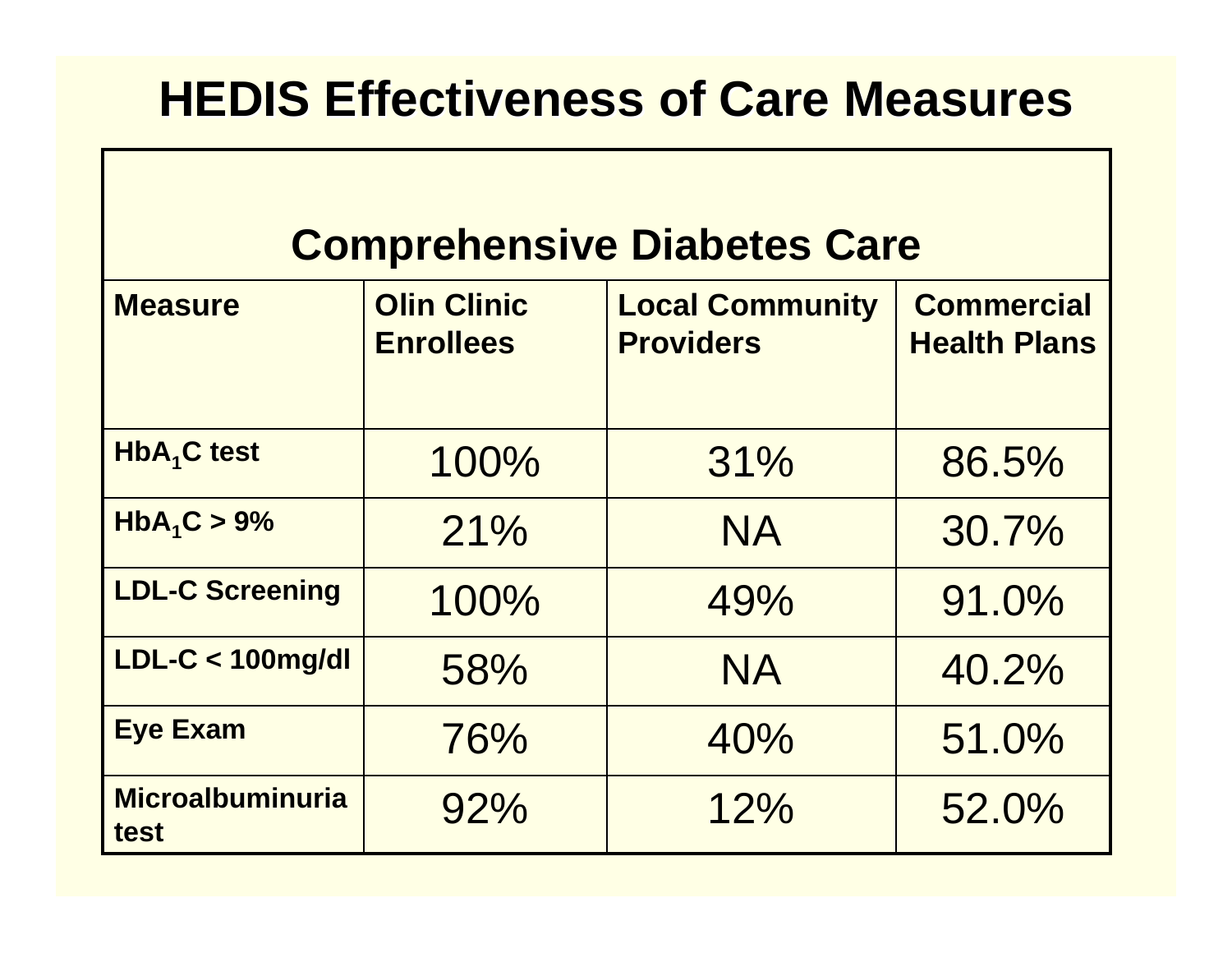#### **HEDIS Effectiveness of Care Measures**

#### **Comprehensive Diabetes Care**

| <b>Measure</b>                  | <b>Olin Clinic</b><br><b>Enrollees</b> | <b>Local Community</b><br><b>Providers</b> | <b>Commercial</b><br><b>Health Plans</b> |
|---------------------------------|----------------------------------------|--------------------------------------------|------------------------------------------|
| <b>HbA<sub>1</sub>C</b> test    | 100%                                   | 31%                                        | 86.5%                                    |
| $HbA_1C > 9%$                   | 21%                                    | <b>NA</b>                                  | 30.7%                                    |
| <b>LDL-C Screening</b>          | 100%                                   | 49%                                        | 91.0%                                    |
| LDL-C < 100mg/dl                | 58%                                    | <b>NA</b>                                  | 40.2%                                    |
| <b>Eye Exam</b>                 | 76%                                    | 40%                                        | 51.0%                                    |
| <b>Microalbuminuria</b><br>test | 92%                                    | 12%                                        | 52.0%                                    |